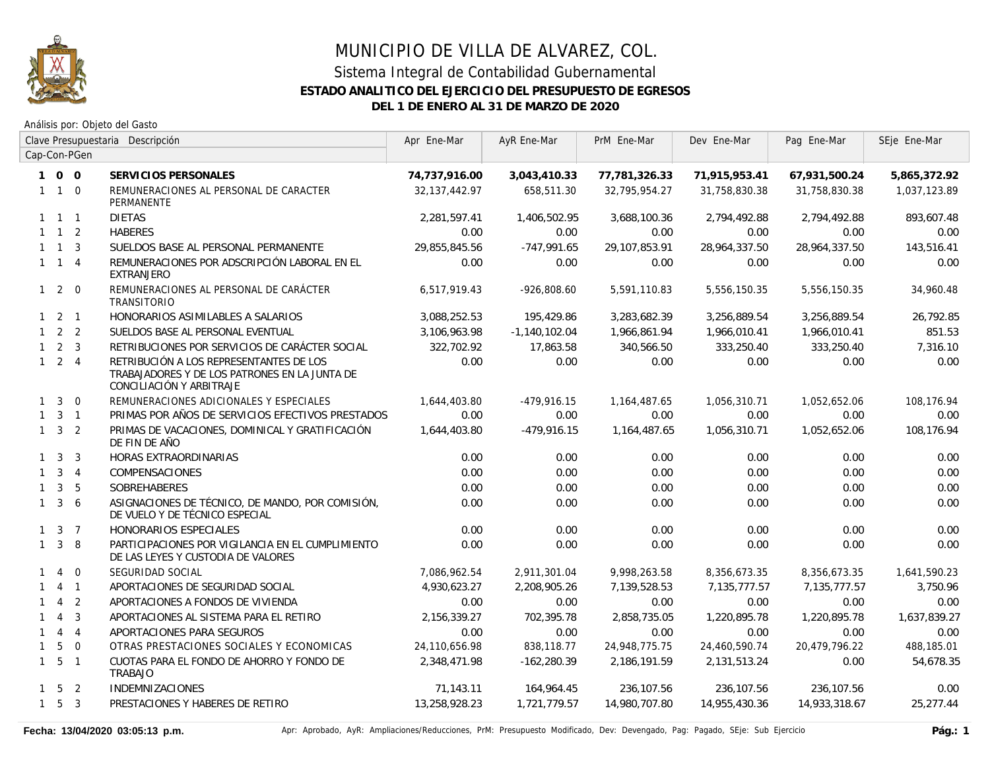

Análisis por: Objeto del Gasto

|              | Clave Presupuestaria Descripción |                |                                                                                                                      | Apr Ene-Mar   | AyR Ene-Mar     | PrM Ene-Mar   | Dev Ene-Mar   | Pag Ene-Mar   | SEje Ene-Mar |
|--------------|----------------------------------|----------------|----------------------------------------------------------------------------------------------------------------------|---------------|-----------------|---------------|---------------|---------------|--------------|
|              |                                  | Cap-Con-PGen   |                                                                                                                      |               |                 |               |               |               |              |
|              | 100                              |                | SERVICIOS PERSONALES                                                                                                 | 74,737,916.00 | 3,043,410.33    | 77,781,326.33 | 71,915,953.41 | 67,931,500.24 | 5,865,372.92 |
|              | $1\quad1\quad0$                  |                | REMUNERACIONES AL PERSONAL DE CARACTER<br><b>PERMANENTE</b>                                                          | 32,137,442.97 | 658,511.30      | 32,795,954.27 | 31,758,830.38 | 31,758,830.38 | 1,037,123.89 |
|              | $1 \quad 1 \quad 1$              |                | <b>DIETAS</b>                                                                                                        | 2,281,597.41  | 1,406,502.95    | 3,688,100.36  | 2,794,492.88  | 2,794,492.88  | 893,607.48   |
|              | $1 \quad 1 \quad 2$              |                | <b>HABERES</b>                                                                                                       | 0.00          | 0.00            | 0.00          | 0.00          | 0.00          | 0.00         |
|              | $1 \quad 1 \quad 3$              |                | SUELDOS BASE AL PERSONAL PERMANENTE                                                                                  | 29,855,845.56 | $-747,991.65$   | 29,107,853.91 | 28,964,337.50 | 28,964,337.50 | 143,516.41   |
|              | $1 \quad 1 \quad 4$              |                | REMUNERACIONES POR ADSCRIPCIÓN LABORAL EN EL<br><b>EXTRANJERO</b>                                                    | 0.00          | 0.00            | 0.00          | 0.00          | 0.00          | 0.00         |
|              | $1\quad2\quad0$                  |                | REMUNERACIONES AL PERSONAL DE CARÁCTER<br>TRANSITORIO                                                                | 6,517,919.43  | $-926,808.60$   | 5,591,110.83  | 5,556,150.35  | 5,556,150.35  | 34,960.48    |
|              | $1 \quad 2 \quad 1$              |                | HONORARIOS ASIMILABLES A SALARIOS                                                                                    | 3,088,252.53  | 195,429.86      | 3,283,682.39  | 3,256,889.54  | 3,256,889.54  | 26,792.85    |
|              | $1 \quad 2 \quad 2$              |                | SUELDOS BASE AL PERSONAL EVENTUAL                                                                                    | 3,106,963.98  | $-1,140,102.04$ | 1,966,861.94  | 1,966,010.41  | 1,966,010.41  | 851.53       |
|              | $1 \quad 2 \quad 3$              |                | RETRIBUCIONES POR SERVICIOS DE CARÁCTER SOCIAL                                                                       | 322,702.92    | 17,863.58       | 340,566.50    | 333,250.40    | 333,250.40    | 7,316.10     |
|              | $1 \quad 2 \quad 4$              |                | RETRIBUCIÓN A LOS REPRESENTANTES DE LOS<br>TRABAJADORES Y DE LOS PATRONES EN LA JUNTA DE<br>CONCILIACIÓN Y ARBITRAJE | 0.00          | 0.00            | 0.00          | 0.00          | 0.00          | 0.00         |
| $\mathbf{1}$ | $\overline{3}$                   | $\overline{0}$ | REMUNERACIONES ADICIONALES Y ESPECIALES                                                                              | 1,644,403.80  | $-479,916.15$   | 1,164,487.65  | 1,056,310.71  | 1,052,652.06  | 108,176.94   |
|              | $1 \quad 3 \quad 1$              |                | PRIMAS POR AÑOS DE SERVICIOS EFECTIVOS PRESTADOS                                                                     | 0.00          | 0.00            | 0.00          | 0.00          | 0.00          | 0.00         |
|              | $1 \quad 3 \quad 2$              |                | PRIMAS DE VACACIONES, DOMINICAL Y GRATIFICACIÓN<br>DE FIN DE AÑO                                                     | 1,644,403.80  | $-479,916.15$   | 1,164,487.65  | 1,056,310.71  | 1,052,652.06  | 108,176.94   |
|              | $1 \quad 3$                      | $\overline{3}$ | HORAS EXTRAORDINARIAS                                                                                                | 0.00          | 0.00            | 0.00          | 0.00          | 0.00          | 0.00         |
| $\mathbf{1}$ |                                  | $3 \quad 4$    | COMPENSACIONES                                                                                                       | 0.00          | 0.00            | 0.00          | 0.00          | 0.00          | 0.00         |
| $\mathbf{1}$ | $\mathbf{3}$                     | 5              | <b>SOBREHABERES</b>                                                                                                  | 0.00          | 0.00            | 0.00          | 0.00          | 0.00          | 0.00         |
|              | $1 \quad 3$                      | 6              | ASIGNACIONES DE TÉCNICO, DE MANDO, POR COMISIÓN,<br>DE VUELO Y DE TÉCNICO ESPECIAL                                   | 0.00          | 0.00            | 0.00          | 0.00          | 0.00          | 0.00         |
|              | $1 \quad 3 \quad 7$              |                | HONORARIOS ESPECIALES                                                                                                | 0.00          | 0.00            | 0.00          | 0.00          | 0.00          | 0.00         |
|              | $1 \quad 3$                      | 8              | PARTICIPACIONES POR VIGILANCIA EN EL CUMPLIMIENTO<br>DE LAS LEYES Y CUSTODIA DE VALORES                              | 0.00          | 0.00            | 0.00          | 0.00          | 0.00          | 0.00         |
| $\mathbf{1}$ | $\overline{4}$                   | $\overline{0}$ | SEGURIDAD SOCIAL                                                                                                     | 7,086,962.54  | 2,911,301.04    | 9,998,263.58  | 8,356,673.35  | 8,356,673.35  | 1,641,590.23 |
|              | $\overline{4}$                   | $\overline{1}$ | APORTACIONES DE SEGURIDAD SOCIAL                                                                                     | 4,930,623.27  | 2,208,905.26    | 7,139,528.53  | 7,135,777.57  | 7,135,777.57  | 3,750.96     |
| $\mathbf{1}$ | $\overline{4}$                   | $\overline{2}$ | APORTACIONES A FONDOS DE VIVIENDA                                                                                    | 0.00          | 0.00            | 0.00          | 0.00          | 0.00          | 0.00         |
| $\mathbf{1}$ | $\overline{4}$                   | $\overline{3}$ | APORTACIONES AL SISTEMA PARA EL RETIRO                                                                               | 2,156,339.27  | 702,395.78      | 2,858,735.05  | 1,220,895.78  | 1,220,895.78  | 1,637,839.27 |
| $\mathbf{1}$ |                                  | $4 \quad 4$    | APORTACIONES PARA SEGUROS                                                                                            | 0.00          | 0.00            | 0.00          | 0.00          | 0.00          | 0.00         |
| $\mathbf{1}$ | 5                                | $\overline{0}$ | OTRAS PRESTACIONES SOCIALES Y ECONOMICAS                                                                             | 24,110,656.98 | 838,118.77      | 24,948,775.75 | 24,460,590.74 | 20,479,796.22 | 488,185.01   |
|              | $1\quad 5\quad 1$                |                | CUOTAS PARA EL FONDO DE AHORRO Y FONDO DE<br>TRABAJO                                                                 | 2,348,471.98  | $-162,280.39$   | 2,186,191.59  | 2,131,513.24  | 0.00          | 54,678.35    |
|              | $1 \quad 5 \quad 2$              |                | <b>INDEMNIZACIONES</b>                                                                                               | 71,143.11     | 164,964.45      | 236,107.56    | 236,107.56    | 236,107.56    | 0.00         |
|              | $1\quad 5\quad 3$                |                | PRESTACIONES Y HABERES DE RETIRO                                                                                     | 13,258,928.23 | 1,721,779.57    | 14,980,707.80 | 14,955,430.36 | 14,933,318.67 | 25,277.44    |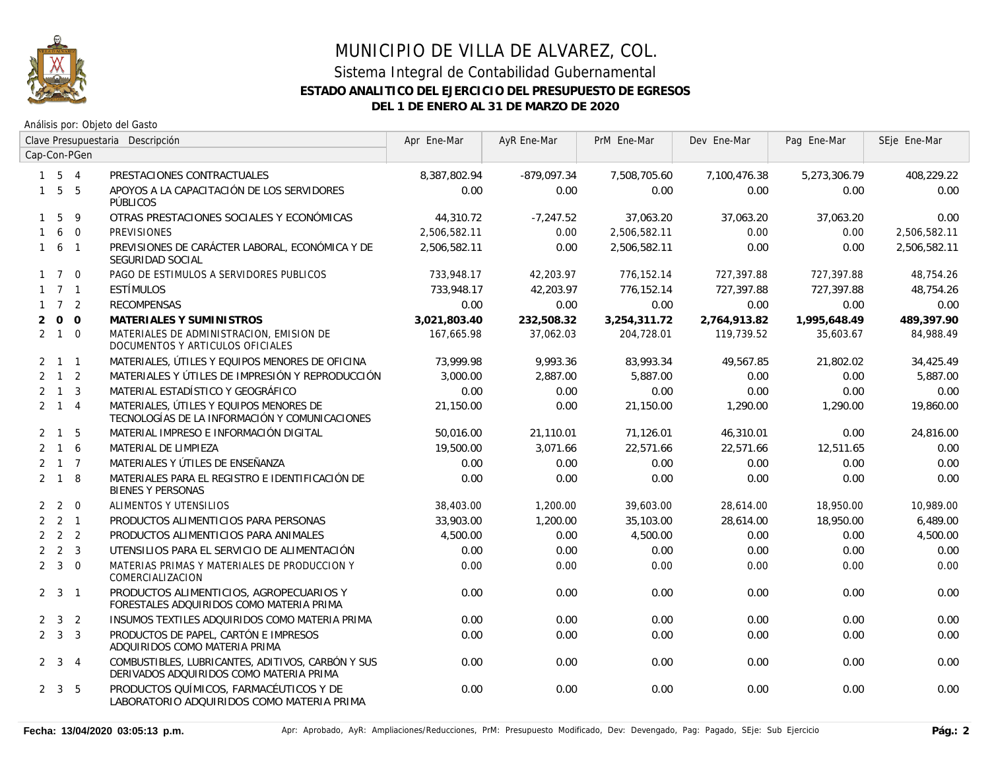

|                | Clave Presupuestaria Descripción |              |                                                                                              | Apr Ene-Mar  | AyR Ene-Mar   | PrM Ene-Mar  | Dev Ene-Mar  | Pag Ene-Mar  | SEje Ene-Mar |
|----------------|----------------------------------|--------------|----------------------------------------------------------------------------------------------|--------------|---------------|--------------|--------------|--------------|--------------|
|                |                                  | Cap-Con-PGen |                                                                                              |              |               |              |              |              |              |
|                | $1 \quad 5 \quad 4$              |              | PRESTACIONES CONTRACTUALES                                                                   | 8,387,802.94 | $-879,097.34$ | 7,508,705.60 | 7,100,476.38 | 5,273,306.79 | 408,229.22   |
|                | $1\quad 5\quad 5$                |              | APOYOS A LA CAPACITACIÓN DE LOS SERVIDORES<br>PÚBLICOS                                       | 0.00         | 0.00          | 0.00         | 0.00         | 0.00         | 0.00         |
|                | 5                                | 9            | OTRAS PRESTACIONES SOCIALES Y ECONÓMICAS                                                     | 44,310.72    | $-7,247.52$   | 37,063.20    | 37,063.20    | 37,063.20    | 0.00         |
| $\mathbf{1}$   |                                  | 6 0          | <b>PREVISIONES</b>                                                                           | 2,506,582.11 | 0.00          | 2,506,582.11 | 0.00         | 0.00         | 2,506,582.11 |
|                | $1\quad 6\quad 1$                |              | PREVISIONES DE CARÁCTER LABORAL, ECONÓMICA Y DE<br>SEGURIDAD SOCIAL                          | 2,506,582.11 | 0.00          | 2,506,582.11 | 0.00         | 0.00         | 2,506,582.11 |
|                | $1 \quad 7 \quad 0$              |              | PAGO DE ESTIMULOS A SERVIDORES PUBLICOS                                                      | 733,948.17   | 42,203.97     | 776,152.14   | 727,397.88   | 727,397.88   | 48,754.26    |
|                | $1 \quad 7 \quad 1$              |              | ESTÍMULOS                                                                                    | 733,948.17   | 42,203.97     | 776,152.14   | 727.397.88   | 727.397.88   | 48.754.26    |
|                | $1 \quad 7 \quad 2$              |              | <b>RECOMPENSAS</b>                                                                           | 0.00         | 0.00          | 0.00         | 0.00         | 0.00         | 0.00         |
| $\overline{2}$ |                                  | $0\quad 0$   | MATERIALES Y SUMINISTROS                                                                     | 3,021,803.40 | 232,508.32    | 3,254,311.72 | 2,764,913.82 | 1,995,648.49 | 489,397.90   |
|                | $2 \quad 1 \quad 0$              |              | MATERIALES DE ADMINISTRACION, EMISION DE<br>DOCUMENTOS Y ARTICULOS OFICIALES                 | 167,665.98   | 37,062.03     | 204,728.01   | 119,739.52   | 35,603.67    | 84,988.49    |
|                | $2 \quad 1 \quad 1$              |              | MATERIALES, ÚTILES Y EQUIPOS MENORES DE OFICINA                                              | 73.999.98    | 9,993.36      | 83,993.34    | 49,567.85    | 21,802.02    | 34,425.49    |
|                | $2 \quad 1 \quad 2$              |              | MATERIALES Y ÚTILES DE IMPRESIÓN Y REPRODUCCIÓN                                              | 3,000.00     | 2,887.00      | 5,887.00     | 0.00         | 0.00         | 5,887.00     |
|                | $2 \quad 1 \quad 3$              |              | MATERIAL ESTADÍSTICO Y GEOGRÁFICO                                                            | 0.00         | 0.00          | 0.00         | 0.00         | 0.00         | 0.00         |
|                | $2 \quad 1 \quad 4$              |              | MATERIALES, ÚTILES Y EQUIPOS MENORES DE<br>TECNOLOGÍAS DE LA INFORMACIÓN Y COMUNICACIONES    | 21,150.00    | 0.00          | 21,150.00    | 1,290.00     | 1,290.00     | 19,860.00    |
|                | $2 \quad 1$                      | 5            | MATERIAL IMPRESO E INFORMACIÓN DIGITAL                                                       | 50,016.00    | 21,110.01     | 71,126.01    | 46,310.01    | 0.00         | 24,816.00    |
|                | $2 \quad 1 \quad 6$              |              | MATERIAL DE LIMPIEZA                                                                         | 19,500.00    | 3,071.66      | 22,571.66    | 22,571.66    | 12,511.65    | 0.00         |
|                | $2 \quad 1 \quad 7$              |              | MATERIALES Y ÚTILES DE ENSEÑANZA                                                             | 0.00         | 0.00          | 0.00         | 0.00         | 0.00         | 0.00         |
|                | $2 \quad 1 \quad 8$              |              | MATERIALES PARA EL REGISTRO E IDENTIFICACIÓN DE<br><b>BIENES Y PERSONAS</b>                  | 0.00         | 0.00          | 0.00         | 0.00         | 0.00         | 0.00         |
|                | $2\quad 2\quad 0$                |              | <b>ALIMENTOS Y UTENSILIOS</b>                                                                | 38,403.00    | 1,200.00      | 39,603.00    | 28,614.00    | 18,950.00    | 10,989.00    |
|                | $2 \quad 2 \quad 1$              |              | PRODUCTOS ALIMENTICIOS PARA PERSONAS                                                         | 33,903.00    | 1,200.00      | 35,103.00    | 28,614.00    | 18,950.00    | 6,489.00     |
|                | $2 \quad 2 \quad 2$              |              | PRODUCTOS ALIMENTICIOS PARA ANIMALES                                                         | 4,500.00     | 0.00          | 4,500.00     | 0.00         | 0.00         | 4,500.00     |
|                | $2 \quad 2 \quad 3$              |              | UTENSILIOS PARA EL SERVICIO DE ALIMENTACIÓN                                                  | 0.00         | 0.00          | 0.00         | 0.00         | 0.00         | 0.00         |
|                | $2 \quad 3 \quad 0$              |              | MATERIAS PRIMAS Y MATERIALES DE PRODUCCION Y<br>COMERCIALIZACION                             | 0.00         | 0.00          | 0.00         | 0.00         | 0.00         | 0.00         |
|                | $2 \quad 3 \quad 1$              |              | PRODUCTOS ALIMENTICIOS, AGROPECUARIOS Y<br>FORESTALES ADQUIRIDOS COMO MATERIA PRIMA          | 0.00         | 0.00          | 0.00         | 0.00         | 0.00         | 0.00         |
|                | $2 \quad 3 \quad 2$              |              | INSUMOS TEXTILES ADQUIRIDOS COMO MATERIA PRIMA                                               | 0.00         | 0.00          | 0.00         | 0.00         | 0.00         | 0.00         |
|                | $2 \quad 3 \quad 3$              |              | PRODUCTOS DE PAPEL, CARTÓN E IMPRESOS<br>ADQUIRIDOS COMO MATERIA PRIMA                       | 0.00         | 0.00          | 0.00         | 0.00         | 0.00         | 0.00         |
|                | $2 \quad 3 \quad 4$              |              | COMBUSTIBLES, LUBRICANTES, ADITIVOS, CARBÓN Y SUS<br>DERIVADOS ADQUIRIDOS COMO MATERIA PRIMA | 0.00         | 0.00          | 0.00         | 0.00         | 0.00         | 0.00         |
|                | $2 \quad 3 \quad 5$              |              | PRODUCTOS QUÍMICOS, FARMACÉUTICOS Y DE<br>LABORATORIO ADQUIRIDOS COMO MATERIA PRIMA          | 0.00         | 0.00          | 0.00         | 0.00         | 0.00         | 0.00         |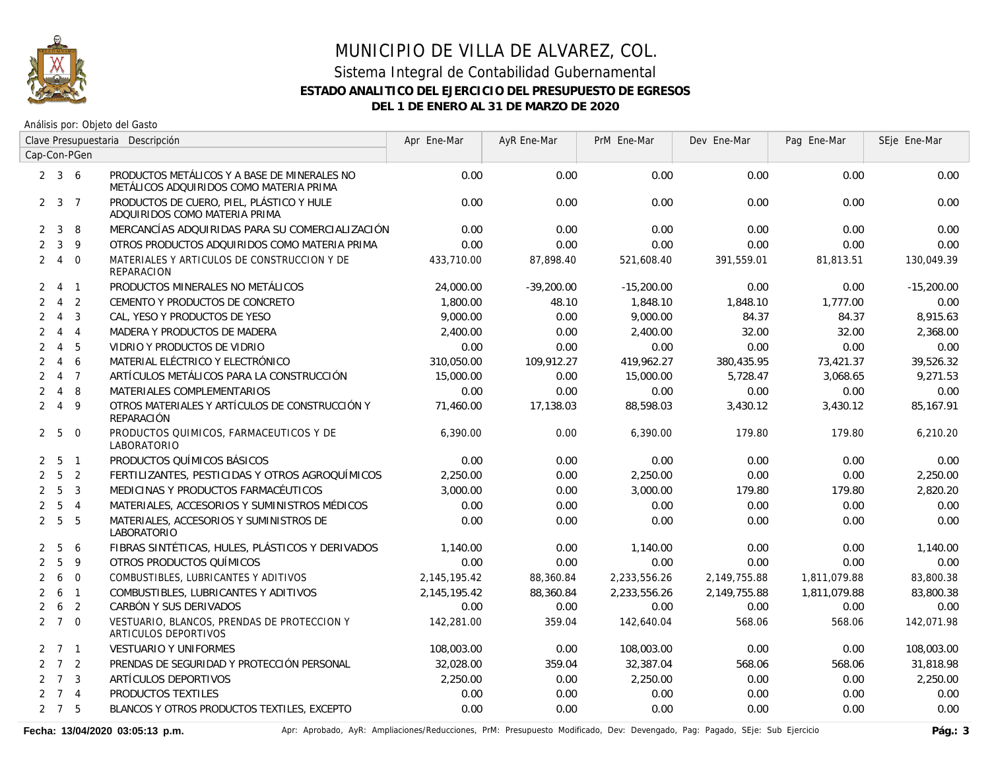

Análisis por: Objeto del Gasto

|                | Clave Presupuestaria Descripción |                  |                                                                                         | Apr Ene-Mar  | AyR Ene-Mar  | PrM Ene-Mar  | Dev Ene-Mar  | Pag Ene-Mar  | SEje Ene-Mar |
|----------------|----------------------------------|------------------|-----------------------------------------------------------------------------------------|--------------|--------------|--------------|--------------|--------------|--------------|
|                |                                  | Cap-Con-PGen     |                                                                                         |              |              |              |              |              |              |
|                | $2 \quad 3 \quad 6$              |                  | PRODUCTOS METÁLICOS Y A BASE DE MINERALES NO<br>METÁLICOS ADQUIRIDOS COMO MATERIA PRIMA | 0.00         | 0.00         | 0.00         | 0.00         | 0.00         | 0.00         |
| $\mathbf{2}$   |                                  | $3 \overline{7}$ | PRODUCTOS DE CUERO, PIEL, PLÁSTICO Y HULE<br>ADQUIRIDOS COMO MATERIA PRIMA              | 0.00         | 0.00         | 0.00         | 0.00         | 0.00         | 0.00         |
| $\overline{2}$ | 3                                | 8                | MERCANCÍAS ADQUIRIDAS PARA SU COMERCIALIZACIÓN                                          | 0.00         | 0.00         | 0.00         | 0.00         | 0.00         | 0.00         |
| $\overline{2}$ | $\mathbf{3}$                     | 9                | OTROS PRODUCTOS ADQUIRIDOS COMO MATERIA PRIMA                                           | 0.00         | 0.00         | 0.00         | 0.00         | 0.00         | 0.00         |
| $\overline{2}$ | $\overline{4}$                   | $\overline{0}$   | MATERIALES Y ARTICULOS DE CONSTRUCCION Y DE<br><b>REPARACION</b>                        | 433,710.00   | 87,898.40    | 521,608.40   | 391,559.01   | 81,813.51    | 130,049.39   |
| $\overline{2}$ |                                  | 4 1              | PRODUCTOS MINERALES NO METÁLICOS                                                        | 24,000.00    | $-39.200.00$ | $-15,200.00$ | 0.00         | 0.00         | $-15.200.00$ |
| $\overline{2}$ |                                  | 4 <sub>2</sub>   | CEMENTO Y PRODUCTOS DE CONCRETO                                                         | 1,800.00     | 48.10        | 1,848.10     | 1,848.10     | 1,777.00     | 0.00         |
| $\overline{2}$ |                                  | $4 \quad 3$      | CAL, YESO Y PRODUCTOS DE YESO                                                           | 9,000.00     | 0.00         | 9,000.00     | 84.37        | 84.37        | 8,915.63     |
| $\overline{2}$ |                                  | $4 \quad 4$      | MADERA Y PRODUCTOS DE MADERA                                                            | 2,400.00     | 0.00         | 2,400.00     | 32.00        | 32.00        | 2,368.00     |
| 2              | $\overline{4}$                   | 5                | VIDRIO Y PRODUCTOS DE VIDRIO                                                            | 0.00         | 0.00         | 0.00         | 0.00         | 0.00         | 0.00         |
| $\overline{2}$ | $\overline{4}$                   | 6                | MATERIAL ELÉCTRICO Y ELECTRÓNICO                                                        | 310,050.00   | 109,912.27   | 419,962.27   | 380,435.95   | 73,421.37    | 39,526.32    |
| $\overline{2}$ |                                  | 4 7              | ARTÍCULOS METÁLICOS PARA LA CONSTRUCCIÓN                                                | 15,000.00    | 0.00         | 15,000.00    | 5,728.47     | 3,068.65     | 9,271.53     |
| $\overline{2}$ | $\overline{4}$                   | 8                | <b>MATERIALES COMPLEMENTARIOS</b>                                                       | 0.00         | 0.00         | 0.00         | 0.00         | 0.00         | 0.00         |
| $\overline{2}$ | $\overline{4}$                   | 9                | OTROS MATERIALES Y ARTÍCULOS DE CONSTRUCCIÓN Y<br>REPARACIÓN                            | 71,460.00    | 17,138.03    | 88,598.03    | 3,430.12     | 3,430.12     | 85,167.91    |
|                | 2 <sub>5</sub>                   | $\overline{0}$   | PRODUCTOS QUIMICOS, FARMACEUTICOS Y DE<br>LABORATORIO                                   | 6.390.00     | 0.00         | 6,390.00     | 179.80       | 179.80       | 6,210.20     |
| 2              | 5                                | $\overline{1}$   | PRODUCTOS QUÍMICOS BÁSICOS                                                              | 0.00         | 0.00         | 0.00         | 0.00         | 0.00         | 0.00         |
| $\overline{2}$ | $5\overline{)}$                  | $\overline{2}$   | FERTILIZANTES, PESTICIDAS Y OTROS AGROQUÍMICOS                                          | 2,250.00     | 0.00         | 2,250.00     | 0.00         | 0.00         | 2,250.00     |
| $\overline{2}$ | 5                                | $\overline{3}$   | MEDICINAS Y PRODUCTOS FARMACÉUTICOS                                                     | 3,000.00     | 0.00         | 3,000.00     | 179.80       | 179.80       | 2,820.20     |
| $\overline{2}$ | 5                                | $\overline{4}$   | MATERIALES, ACCESORIOS Y SUMINISTROS MÉDICOS                                            | 0.00         | 0.00         | 0.00         | 0.00         | 0.00         | 0.00         |
| $\overline{2}$ | 5                                | 5                | MATERIALES, ACCESORIOS Y SUMINISTROS DE<br>LABORATORIO                                  | 0.00         | 0.00         | 0.00         | 0.00         | 0.00         | 0.00         |
| $\mathbf{2}$   | 5                                | 6                | FIBRAS SINTÉTICAS, HULES, PLÁSTICOS Y DERIVADOS                                         | 1,140.00     | 0.00         | 1,140.00     | 0.00         | 0.00         | 1,140.00     |
| $\overline{2}$ | 5                                | 9                | OTROS PRODUCTOS QUÍMICOS                                                                | 0.00         | 0.00         | 0.00         | 0.00         | 0.00         | 0.00         |
| 2              | 6                                | $\Omega$         | COMBUSTIBLES, LUBRICANTES Y ADITIVOS                                                    | 2,145,195.42 | 88,360.84    | 2,233,556.26 | 2,149,755.88 | 1,811,079.88 | 83,800.38    |
| 2              | 6                                | $\overline{1}$   | COMBUSTIBLES, LUBRICANTES Y ADITIVOS                                                    | 2,145,195.42 | 88,360.84    | 2,233,556.26 | 2,149,755.88 | 1,811,079.88 | 83,800.38    |
| $\overline{2}$ | 6                                | 2                | CARBÓN Y SUS DERIVADOS                                                                  | 0.00         | 0.00         | 0.00         | 0.00         | 0.00         | 0.00         |
|                | $2 \t7 \t0$                      |                  | VESTUARIO, BLANCOS, PRENDAS DE PROTECCION Y<br>ARTICULOS DEPORTIVOS                     | 142,281.00   | 359.04       | 142,640.04   | 568.06       | 568.06       | 142,071.98   |
|                | $2 \quad 7 \quad 1$              |                  | <b>VESTUARIO Y UNIFORMES</b>                                                            | 108,003.00   | 0.00         | 108,003.00   | 0.00         | 0.00         | 108,003.00   |
|                | $2 \quad 7 \quad 2$              |                  | PRENDAS DE SEGURIDAD Y PROTECCIÓN PERSONAL                                              | 32,028.00    | 359.04       | 32,387.04    | 568.06       | 568.06       | 31,818.98    |
|                | $2 \quad 7 \quad 3$              |                  | ARTÍCULOS DEPORTIVOS                                                                    | 2,250.00     | 0.00         | 2,250.00     | 0.00         | 0.00         | 2,250.00     |
|                | $2 \quad 7 \quad 4$              |                  | PRODUCTOS TEXTILES                                                                      | 0.00         | 0.00         | 0.00         | 0.00         | 0.00         | 0.00         |
|                | $2 \quad 7 \quad 5$              |                  | BLANCOS Y OTROS PRODUCTOS TEXTILES, EXCEPTO                                             | 0.00         | 0.00         | 0.00         | 0.00         | 0.00         | 0.00         |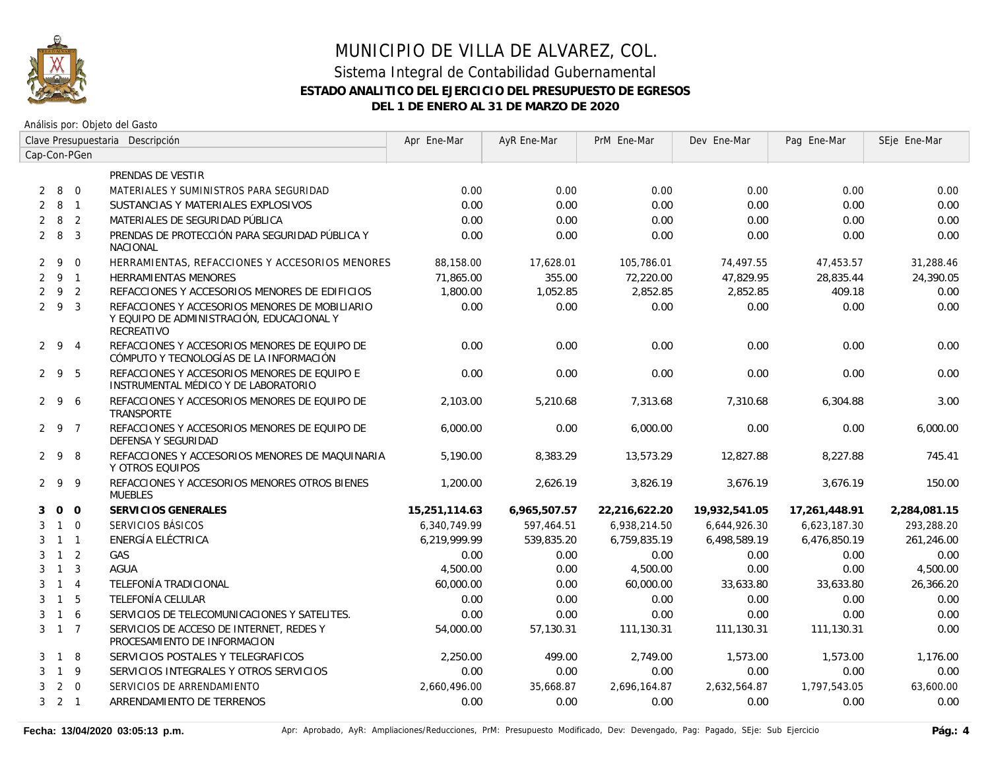

|                | Clave Presupuestaria Descripción |                |                                                                                                           | Apr Ene-Mar   | AyR Ene-Mar  | PrM Ene-Mar   | Dev Ene-Mar   | Pag Ene-Mar   | SEje Ene-Mar |
|----------------|----------------------------------|----------------|-----------------------------------------------------------------------------------------------------------|---------------|--------------|---------------|---------------|---------------|--------------|
|                |                                  | Cap-Con-PGen   |                                                                                                           |               |              |               |               |               |              |
|                |                                  |                | PRENDAS DE VESTIR                                                                                         |               |              |               |               |               |              |
| 2              | 8 0                              |                | MATERIALES Y SUMINISTROS PARA SEGURIDAD                                                                   | 0.00          | 0.00         | 0.00          | 0.00          | 0.00          | 0.00         |
| 2              | 8 1                              |                | SUSTANCIAS Y MATERIALES EXPLOSIVOS                                                                        | 0.00          | 0.00         | 0.00          | 0.00          | 0.00          | 0.00         |
| $\overline{2}$ | 8                                | $\overline{2}$ | MATERIALES DE SEGURIDAD PÚBLICA                                                                           | 0.00          | 0.00         | 0.00          | 0.00          | 0.00          | 0.00         |
|                | $2 \quad 8$                      | $\overline{3}$ | PRENDAS DE PROTECCIÓN PARA SEGURIDAD PÚBLICA Y<br><b>NACIONAL</b>                                         | 0.00          | 0.00         | 0.00          | 0.00          | 0.00          | 0.00         |
|                | $2 \quad 9$                      | $\overline{0}$ | HERRAMIENTAS, REFACCIONES Y ACCESORIOS MENORES                                                            | 88,158.00     | 17,628.01    | 105,786.01    | 74,497.55     | 47,453.57     | 31,288.46    |
|                | $2 \quad 9 \quad 1$              |                | HERRAMIENTAS MENORES                                                                                      | 71,865.00     | 355.00       | 72,220.00     | 47,829.95     | 28,835.44     | 24,390.05    |
| $\overline{2}$ | 9 <sub>2</sub>                   |                | REFACCIONES Y ACCESORIOS MENORES DE EDIFICIOS                                                             | 1,800.00      | 1,052.85     | 2,852.85      | 2,852.85      | 409.18        | 0.00         |
|                | 293                              |                | REFACCIONES Y ACCESORIOS MENORES DE MOBILIARIO<br>Y EQUIPO DE ADMINISTRACIÓN, EDUCACIONAL Y<br>RECREATIVO | 0.00          | 0.00         | 0.00          | 0.00          | 0.00          | 0.00         |
|                | 294                              |                | REFACCIONES Y ACCESORIOS MENORES DE EQUIPO DE<br>CÓMPUTO Y TECNOLOGÍAS DE LA INFORMACIÓN                  | 0.00          | 0.00         | 0.00          | 0.00          | 0.00          | 0.00         |
|                | $2 \t9 \t5$                      |                | REFACCIONES Y ACCESORIOS MENORES DE EQUIPO E<br>INSTRUMENTAL MÉDICO Y DE LABORATORIO                      | 0.00          | 0.00         | 0.00          | 0.00          | 0.00          | 0.00         |
|                | 296                              |                | REFACCIONES Y ACCESORIOS MENORES DE EQUIPO DE<br><b>TRANSPORTE</b>                                        | 2,103.00      | 5,210.68     | 7,313.68      | 7,310.68      | 6,304.88      | 3.00         |
|                | 2 9 7                            |                | REFACCIONES Y ACCESORIOS MENORES DE EQUIPO DE<br>DEFENSA Y SEGURIDAD                                      | 6,000.00      | 0.00         | 6,000.00      | 0.00          | 0.00          | 6,000.00     |
|                | 298                              |                | REFACCIONES Y ACCESORIOS MENORES DE MAQUINARIA<br>Y OTROS EQUIPOS                                         | 5,190.00      | 8,383.29     | 13,573.29     | 12,827.88     | 8,227.88      | 745.41       |
|                | 299                              |                | REFACCIONES Y ACCESORIOS MENORES OTROS BIENES<br><b>MUEBLES</b>                                           | 1,200.00      | 2,626.19     | 3,826.19      | 3,676.19      | 3,676.19      | 150.00       |
| 3              | $0\quad 0$                       |                | SERVICIOS GENERALES                                                                                       | 15,251,114.63 | 6,965,507.57 | 22,216,622.20 | 19,932,541.05 | 17,261,448.91 | 2,284,081.15 |
| 3              | $1\quad 0$                       |                | SERVICIOS BÁSICOS                                                                                         | 6,340,749.99  | 597,464.51   | 6,938,214.50  | 6,644,926.30  | 6,623,187.30  | 293,288.20   |
| 3              | $1 \quad 1$                      |                | ENERGÍA ELÉCTRICA                                                                                         | 6,219,999.99  | 539,835.20   | 6,759,835.19  | 6,498,589.19  | 6,476,850.19  | 261,246.00   |
| 3              | $1\quad 2$                       |                | GAS                                                                                                       | 0.00          | 0.00         | 0.00          | 0.00          | 0.00          | 0.00         |
| 3              | $\overline{1}$                   | $\overline{3}$ | <b>AGUA</b>                                                                                               | 4,500.00      | 0.00         | 4,500.00      | 0.00          | 0.00          | 4,500.00     |
| 3              | $\overline{1}$                   | $\overline{4}$ | TELEFONÍA TRADICIONAL                                                                                     | 60,000.00     | 0.00         | 60,000.00     | 33,633.80     | 33,633.80     | 26,366.20    |
| 3              | $\overline{1}$                   | 5              | TELEFONÍA CELULAR                                                                                         | 0.00          | 0.00         | 0.00          | 0.00          | 0.00          | 0.00         |
| 3              | $1\quad6$                        |                | SERVICIOS DE TELECOMUNICACIONES Y SATELITES.                                                              | 0.00          | 0.00         | 0.00          | 0.00          | 0.00          | 0.00         |
|                | $3 \t1 \t7$                      |                | SERVICIOS DE ACCESO DE INTERNET, REDES Y<br>PROCESAMIENTO DE INFORMACION                                  | 54,000.00     | 57,130.31    | 111,130.31    | 111,130.31    | 111,130.31    | 0.00         |
| 3              | $\mathbf{1}$                     | 8              | SERVICIOS POSTALES Y TELEGRAFICOS                                                                         | 2,250.00      | 499.00       | 2,749.00      | 1,573.00      | 1,573.00      | 1,176.00     |
| 3              | $\overline{1}$                   | 9              | SERVICIOS INTEGRALES Y OTROS SERVICIOS                                                                    | 0.00          | 0.00         | 0.00          | 0.00          | 0.00          | 0.00         |
| 3              |                                  | $2\quad 0$     | SERVICIOS DE ARRENDAMIENTO                                                                                | 2,660,496.00  | 35,668.87    | 2,696,164.87  | 2,632,564.87  | 1,797,543.05  | 63,600.00    |
|                | $3 \quad 2 \quad 1$              |                | ARRENDAMIENTO DE TERRENOS                                                                                 | 0.00          | 0.00         | 0.00          | 0.00          | 0.00          | 0.00         |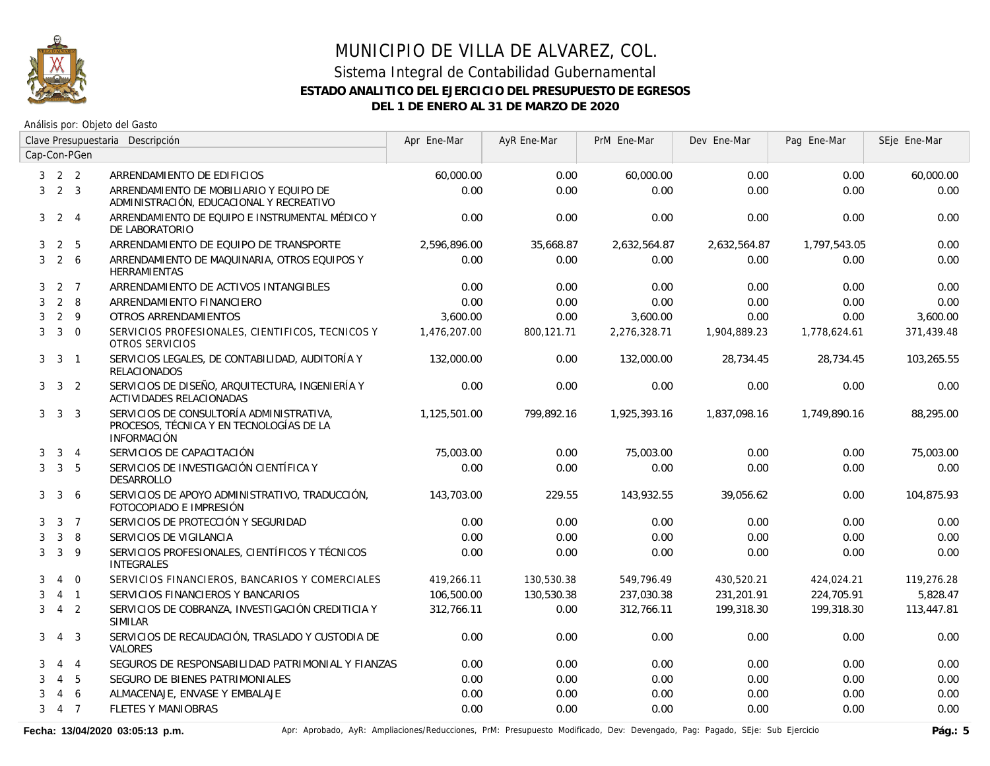

Análisis por: Objeto del Gasto

|                | Clave Presupuestaria Descripción |                  |                                                                                                            | Apr Ene-Mar  | AyR Ene-Mar | PrM Ene-Mar  | Dev Ene-Mar  | Pag Ene-Mar  | SEje Ene-Mar |
|----------------|----------------------------------|------------------|------------------------------------------------------------------------------------------------------------|--------------|-------------|--------------|--------------|--------------|--------------|
|                |                                  | Cap-Con-PGen     |                                                                                                            |              |             |              |              |              |              |
| 3              | 2 <sub>2</sub>                   |                  | ARRENDAMIENTO DE EDIFICIOS                                                                                 | 60,000.00    | 0.00        | 60,000.00    | 0.00         | 0.00         | 60,000.00    |
| 3              |                                  | 2 <sup>3</sup>   | ARRENDAMIENTO DE MOBILIARIO Y EQUIPO DE<br>ADMINISTRACIÓN, EDUCACIONAL Y RECREATIVO                        | 0.00         | 0.00        | 0.00         | 0.00         | 0.00         | 0.00         |
| 3              |                                  | $2 \quad 4$      | ARRENDAMIENTO DE EQUIPO E INSTRUMENTAL MÉDICO Y<br>DE LABORATORIO                                          | 0.00         | 0.00        | 0.00         | 0.00         | 0.00         | 0.00         |
| 3              | $\overline{2}$                   | 5                | ARRENDAMIENTO DE EQUIPO DE TRANSPORTE                                                                      | 2,596,896.00 | 35,668.87   | 2,632,564.87 | 2,632,564.87 | 1,797,543.05 | 0.00         |
| 3              |                                  | $2\overline{6}$  | ARRENDAMIENTO DE MAQUINARIA, OTROS EQUIPOS Y<br><b>HERRAMIENTAS</b>                                        | 0.00         | 0.00        | 0.00         | 0.00         | 0.00         | 0.00         |
| 3              |                                  | 2 7              | ARRENDAMIENTO DE ACTIVOS INTANGIBLES                                                                       | 0.00         | 0.00        | 0.00         | 0.00         | 0.00         | 0.00         |
| 3              |                                  | $2 \quad 8$      | ARRENDAMIENTO FINANCIERO                                                                                   | 0.00         | 0.00        | 0.00         | 0.00         | 0.00         | 0.00         |
| 3              |                                  | $2 \quad 9$      | OTROS ARRENDAMIENTOS                                                                                       | 3,600.00     | 0.00        | 3,600.00     | 0.00         | 0.00         | 3,600.00     |
| 3              |                                  | $3 \quad 0$      | SERVICIOS PROFESIONALES, CIENTIFICOS, TECNICOS Y<br>OTROS SERVICIOS                                        | 1,476,207.00 | 800.121.71  | 2,276,328.71 | 1,904,889.23 | 1,778,624.61 | 371,439.48   |
| 3 <sup>1</sup> | $\overline{3}$                   | $\overline{1}$   | SERVICIOS LEGALES, DE CONTABILIDAD, AUDITORÍA Y<br><b>RELACIONADOS</b>                                     | 132,000.00   | 0.00        | 132,000.00   | 28,734.45    | 28,734.45    | 103,265.55   |
|                | $3 \quad 3 \quad 2$              |                  | SERVICIOS DE DISEÑO, ARQUITECTURA, INGENIERÍA Y<br><b>ACTIVIDADES RELACIONADAS</b>                         | 0.00         | 0.00        | 0.00         | 0.00         | 0.00         | 0.00         |
| 3              |                                  | 3 <sup>3</sup>   | SERVICIOS DE CONSULTORÍA ADMINISTRATIVA,<br>PROCESOS, TÉCNICA Y EN TECNOLOGÍAS DE LA<br><b>INFORMACIÓN</b> | 1,125,501.00 | 799,892.16  | 1,925,393.16 | 1,837,098.16 | 1,749,890.16 | 88,295.00    |
| 3              |                                  | $3 \quad 4$      | SERVICIOS DE CAPACITACIÓN                                                                                  | 75,003.00    | 0.00        | 75,003.00    | 0.00         | 0.00         | 75,003.00    |
| 3              |                                  | 3 <sub>5</sub>   | SERVICIOS DE INVESTIGACIÓN CIENTÍFICA Y<br><b>DESARROLLO</b>                                               | 0.00         | 0.00        | 0.00         | 0.00         | 0.00         | 0.00         |
| 3              | 3                                | 6                | SERVICIOS DE APOYO ADMINISTRATIVO, TRADUCCIÓN,<br>FOTOCOPIADO E IMPRESIÓN                                  | 143,703.00   | 229.55      | 143,932.55   | 39,056.62    | 0.00         | 104,875.93   |
| 3              |                                  | $3 \overline{7}$ | SERVICIOS DE PROTECCIÓN Y SEGURIDAD                                                                        | 0.00         | 0.00        | 0.00         | 0.00         | 0.00         | 0.00         |
| 3              | 3                                | 8                | SERVICIOS DE VIGILANCIA                                                                                    | 0.00         | 0.00        | 0.00         | 0.00         | 0.00         | 0.00         |
| 3              | 3                                | 9                | SERVICIOS PROFESIONALES, CIENTÍFICOS Y TÉCNICOS<br><b>INTEGRALES</b>                                       | 0.00         | 0.00        | 0.00         | 0.00         | 0.00         | 0.00         |
| 3              | $\overline{4}$                   | $\overline{0}$   | SERVICIOS FINANCIEROS, BANCARIOS Y COMERCIALES                                                             | 419,266.11   | 130,530.38  | 549,796.49   | 430,520.21   | 424,024.21   | 119,276.28   |
| 3              |                                  | $4 \quad 1$      | SERVICIOS FINANCIEROS Y BANCARIOS                                                                          | 106,500.00   | 130,530.38  | 237,030.38   | 231,201.91   | 224,705.91   | 5,828.47     |
| 3              |                                  | $4\quad 2$       | SERVICIOS DE COBRANZA, INVESTIGACIÓN CREDITICIA Y<br><b>SIMILAR</b>                                        | 312,766.11   | 0.00        | 312,766.11   | 199,318.30   | 199,318.30   | 113,447.81   |
| 3              | 4                                | 3                | SERVICIOS DE RECAUDACIÓN, TRASLADO Y CUSTODIA DE<br>VALORES                                                | 0.00         | 0.00        | 0.00         | 0.00         | 0.00         | 0.00         |
| 3              | $\overline{4}$                   | $\overline{4}$   | SEGUROS DE RESPONSABILIDAD PATRIMONIAL Y FIANZAS                                                           | 0.00         | 0.00        | 0.00         | 0.00         | 0.00         | 0.00         |
| 3              | 4                                | 5                | SEGURO DE BIENES PATRIMONIALES                                                                             | 0.00         | 0.00        | 0.00         | 0.00         | 0.00         | 0.00         |
| 3              | 4                                | 6                | ALMACENAJE, ENVASE Y EMBALAJE                                                                              | 0.00         | 0.00        | 0.00         | 0.00         | 0.00         | 0.00         |
| 3              |                                  | 4 7              | <b>FLETES Y MANIOBRAS</b>                                                                                  | 0.00         | 0.00        | 0.00         | 0.00         | 0.00         | 0.00         |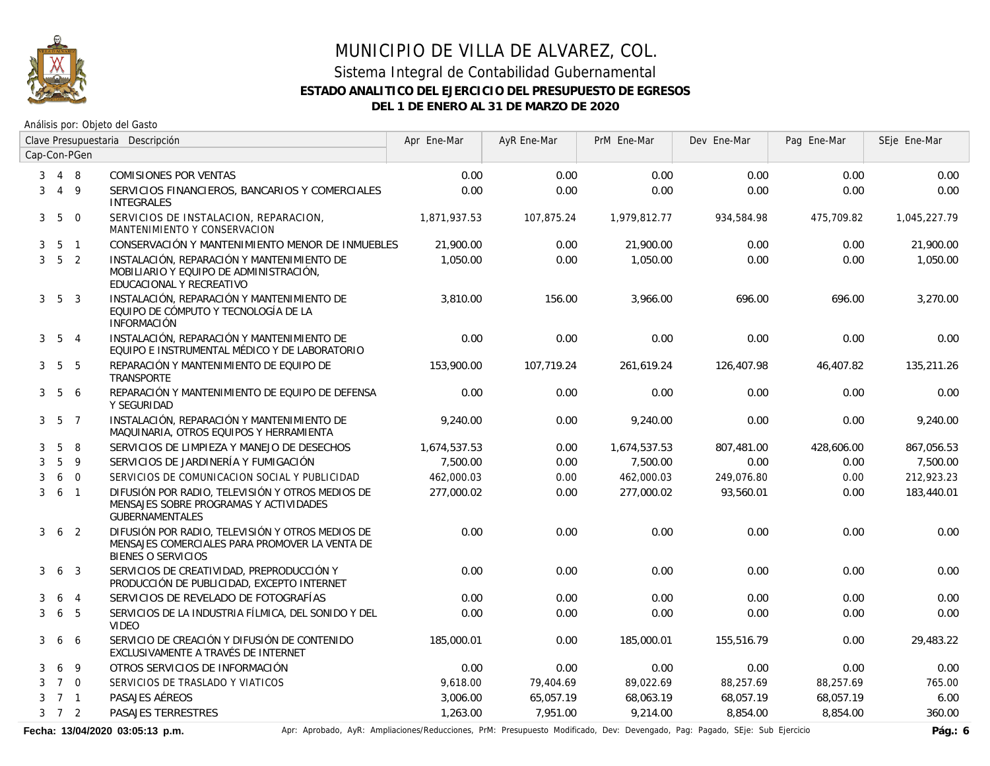

Análisis por: Objeto del Gasto

|   | Clave Presupuestaria Descripción |                |                                                                                                                                 | Apr Ene-Mar  | AyR Ene-Mar | PrM Ene-Mar  | Dev Ene-Mar | Pag Ene-Mar | SEje Ene-Mar |
|---|----------------------------------|----------------|---------------------------------------------------------------------------------------------------------------------------------|--------------|-------------|--------------|-------------|-------------|--------------|
|   |                                  | Cap-Con-PGen   |                                                                                                                                 |              |             |              |             |             |              |
| 3 |                                  | 4 8            | <b>COMISIONES POR VENTAS</b>                                                                                                    | 0.00         | 0.00        | 0.00         | 0.00        | 0.00        | 0.00         |
| 3 |                                  | 4 9            | SERVICIOS FINANCIEROS, BANCARIOS Y COMERCIALES<br><b>INTEGRALES</b>                                                             | 0.00         | 0.00        | 0.00         | 0.00        | 0.00        | 0.00         |
| 3 | 5                                | $\Omega$       | SERVICIOS DE INSTALACION, REPARACION,<br>MANTENIMIENTO Y CONSERVACION                                                           | 1.871.937.53 | 107.875.24  | 1.979.812.77 | 934,584.98  | 475,709.82  | 1,045,227.79 |
| 3 | 5                                | $\overline{1}$ | CONSERVACIÓN Y MANTENIMIENTO MENOR DE INMUEBLES                                                                                 | 21,900.00    | 0.00        | 21,900.00    | 0.00        | 0.00        | 21,900.00    |
| 3 |                                  | 5 <sub>2</sub> | INSTALACIÓN, REPARACIÓN Y MANTENIMIENTO DE<br>MOBILIARIO Y EQUIPO DE ADMINISTRACIÓN,<br>EDUCACIONAL Y RECREATIVO                | 1,050.00     | 0.00        | 1,050.00     | 0.00        | 0.00        | 1,050.00     |
| 3 |                                  | 5 3            | INSTALACIÓN, REPARACIÓN Y MANTENIMIENTO DE<br>EQUIPO DE CÓMPUTO Y TECNOLOGÍA DE LA<br><b>INFORMACIÓN</b>                        | 3,810.00     | 156.00      | 3,966.00     | 696.00      | 696.00      | 3,270.00     |
|   | $3\quad 5\quad 4$                |                | INSTALACIÓN, REPARACIÓN Y MANTENIMIENTO DE<br>EQUIPO E INSTRUMENTAL MÉDICO Y DE LABORATORIO                                     | 0.00         | 0.00        | 0.00         | 0.00        | 0.00        | 0.00         |
| 3 | 5                                | 5              | REPARACIÓN Y MANTENIMIENTO DE EQUIPO DE<br><b>TRANSPORTE</b>                                                                    | 153,900.00   | 107,719.24  | 261,619.24   | 126,407.98  | 46,407.82   | 135,211.26   |
| 3 | 5                                | -6             | REPARACIÓN Y MANTENIMIENTO DE EQUIPO DE DEFENSA<br>Y SEGURIDAD                                                                  | 0.00         | 0.00        | 0.00         | 0.00        | 0.00        | 0.00         |
|   | $3\quad 5\quad 7$                |                | INSTALACIÓN, REPARACIÓN Y MANTENIMIENTO DE<br>MAQUINARIA, OTROS EQUIPOS Y HERRAMIENTA                                           | 9.240.00     | 0.00        | 9.240.00     | 0.00        | 0.00        | 9,240.00     |
| 3 | 5                                | 8              | SERVICIOS DE LIMPIEZA Y MANEJO DE DESECHOS                                                                                      | 1,674,537.53 | 0.00        | 1,674,537.53 | 807,481.00  | 428,606.00  | 867,056.53   |
| 3 | 5                                | $\overline{9}$ | SERVICIOS DE JARDINERÍA Y FUMIGACIÓN                                                                                            | 7,500.00     | 0.00        | 7,500.00     | 0.00        | 0.00        | 7,500.00     |
| 3 | 6                                | $\overline{0}$ | SERVICIOS DE COMUNICACION SOCIAL Y PUBLICIDAD                                                                                   | 462,000.03   | 0.00        | 462,000.03   | 249,076.80  | 0.00        | 212,923.23   |
| 3 |                                  | 6 1            | DIFUSIÓN POR RADIO, TELEVISIÓN Y OTROS MEDIOS DE<br>MENSAJES SOBRE PROGRAMAS Y ACTIVIDADES<br><b>GUBERNAMENTALES</b>            | 277.000.02   | 0.00        | 277,000.02   | 93.560.01   | 0.00        | 183,440.01   |
| 3 | 6                                | $\overline{2}$ | DIFUSIÓN POR RADIO, TELEVISIÓN Y OTROS MEDIOS DE<br>MENSAJES COMERCIALES PARA PROMOVER LA VENTA DE<br><b>BIENES O SERVICIOS</b> | 0.00         | 0.00        | 0.00         | 0.00        | 0.00        | 0.00         |
| 3 | 6                                | 3              | SERVICIOS DE CREATIVIDAD, PREPRODUCCIÓN Y<br>PRODUCCIÓN DE PUBLICIDAD, EXCEPTO INTERNET                                         | 0.00         | 0.00        | 0.00         | 0.00        | 0.00        | 0.00         |
| 3 | 6                                | $\overline{4}$ | SERVICIOS DE REVELADO DE FOTOGRAFÍAS                                                                                            | 0.00         | 0.00        | 0.00         | 0.00        | 0.00        | 0.00         |
| 3 | 6                                | 5              | SERVICIOS DE LA INDUSTRIA FÍLMICA, DEL SONIDO Y DEL<br><b>VIDEO</b>                                                             | 0.00         | 0.00        | 0.00         | 0.00        | 0.00        | 0.00         |
| 3 | 6                                | 6              | SERVICIO DE CREACIÓN Y DIFUSIÓN DE CONTENIDO<br>EXCLUSIVAMENTE A TRAVÉS DE INTERNET                                             | 185,000.01   | 0.00        | 185,000.01   | 155,516.79  | 0.00        | 29,483.22    |
| 3 | 6                                | 9              | OTROS SERVICIOS DE INFORMACIÓN                                                                                                  | 0.00         | 0.00        | 0.00         | 0.00        | 0.00        | 0.00         |
| 3 | $7\quad$ 0                       |                | SERVICIOS DE TRASLADO Y VIATICOS                                                                                                | 9,618.00     | 79,404.69   | 89,022.69    | 88,257.69   | 88,257.69   | 765.00       |
| 3 |                                  | 7 1            | PASAJES AÉREOS                                                                                                                  | 3,006.00     | 65,057.19   | 68,063.19    | 68,057.19   | 68,057.19   | 6.00         |
|   | $3 \quad 7 \quad 2$              |                | PASAJES TERRESTRES                                                                                                              | 1,263.00     | 7.951.00    | 9,214.00     | 8,854.00    | 8,854.00    | 360.00       |

Fecha: 13/04/2020 03:05:13 p.m. **Anche Aprinal Aprina April Aprobado, AyR:** Ampliaciones/Reducciones, PrM: Presupuesto Modificado, Dev: Devengado, Pag: Pagado, SEje: Sub Ejercicio Pág.: 6<br>Pág.: 6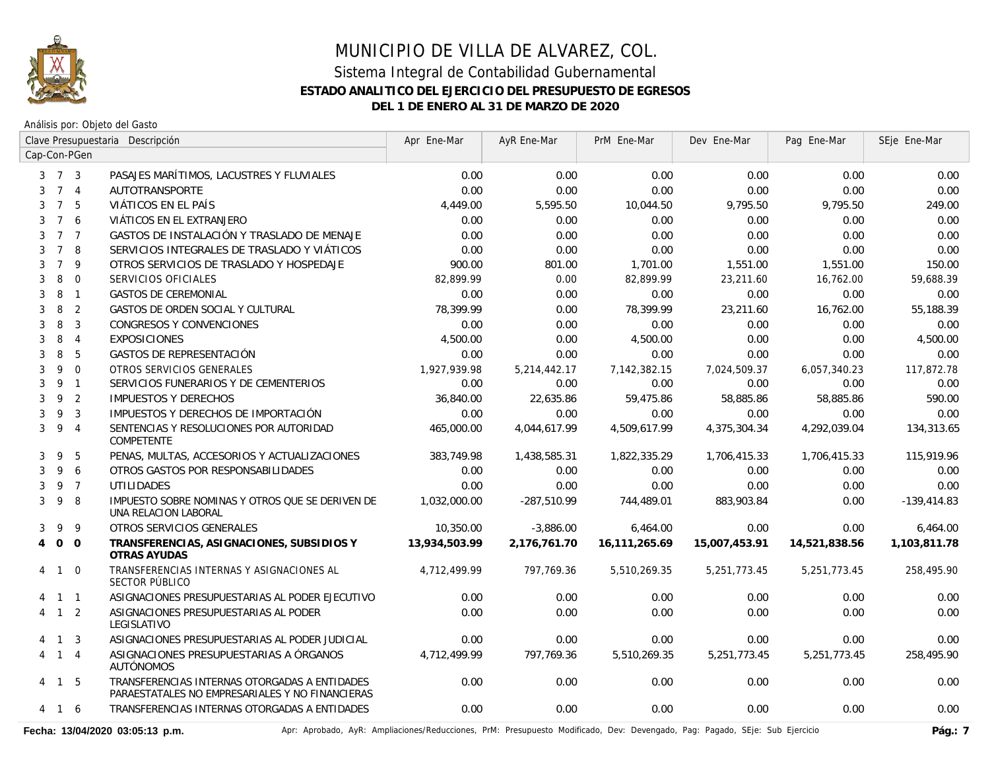

Análisis por: Objeto del Gasto

|                | Clave Presupuestaria Descripción |                | Apr Ene-Mar                                                                                      | AyR Ene-Mar   | PrM Ene-Mar  | Dev Ene-Mar   | Pag Ene-Mar   | SEje Ene-Mar  |               |
|----------------|----------------------------------|----------------|--------------------------------------------------------------------------------------------------|---------------|--------------|---------------|---------------|---------------|---------------|
|                |                                  | Cap-Con-PGen   |                                                                                                  |               |              |               |               |               |               |
|                | $3 \quad 7 \quad 3$              |                | PASAJES MARÍTIMOS, LACUSTRES Y FLUVIALES                                                         | 0.00          | 0.00         | 0.00          | 0.00          | 0.00          | 0.00          |
| 3              |                                  | 7 <sub>4</sub> | AUTOTRANSPORTE                                                                                   | 0.00          | 0.00         | 0.00          | 0.00          | 0.00          | 0.00          |
| 3              | $\overline{7}$                   | 5              | VIÁTICOS EN EL PAÍS                                                                              | 4,449.00      | 5,595.50     | 10,044.50     | 9,795.50      | 9,795.50      | 249.00        |
| 3              | $\overline{7}$                   | 6              | VIÁTICOS EN EL EXTRANJERO                                                                        | 0.00          | 0.00         | 0.00          | 0.00          | 0.00          | 0.00          |
| 3              | 7 7                              |                | GASTOS DE INSTALACIÓN Y TRASLADO DE MENAJE                                                       | 0.00          | 0.00         | 0.00          | 0.00          | 0.00          | 0.00          |
| 3              | $7^{\circ}$                      | 8              | SERVICIOS INTEGRALES DE TRASLADO Y VIÁTICOS                                                      | 0.00          | 0.00         | 0.00          | 0.00          | 0.00          | 0.00          |
| 3              | $\overline{7}$                   | 9              | OTROS SERVICIOS DE TRASLADO Y HOSPEDAJE                                                          | 900.00        | 801.00       | 1,701.00      | 1,551.00      | 1,551.00      | 150.00        |
| 3              | 8                                | $\mathbf{0}$   | SERVICIOS OFICIALES                                                                              | 82,899.99     | 0.00         | 82,899.99     | 23,211.60     | 16,762.00     | 59,688.39     |
| 3              | 8                                | $\overline{1}$ | <b>GASTOS DE CEREMONIAL</b>                                                                      | 0.00          | 0.00         | 0.00          | 0.00          | 0.00          | 0.00          |
| 3              | 8                                | $\overline{2}$ | GASTOS DE ORDEN SOCIAL Y CULTURAL                                                                | 78,399.99     | 0.00         | 78,399.99     | 23,211.60     | 16,762.00     | 55,188.39     |
| 3              | 8                                | $\mathbf{3}$   | CONGRESOS Y CONVENCIONES                                                                         | 0.00          | 0.00         | 0.00          | 0.00          | 0.00          | 0.00          |
| 3              | 8                                | $\overline{4}$ | <b>EXPOSICIONES</b>                                                                              | 4,500.00      | 0.00         | 4,500.00      | 0.00          | 0.00          | 4,500.00      |
| 3              | 8                                | 5              | GASTOS DE REPRESENTACIÓN                                                                         | 0.00          | 0.00         | 0.00          | 0.00          | 0.00          | 0.00          |
| 3              | 9                                | $\Omega$       | OTROS SERVICIOS GENERALES                                                                        | 1,927,939.98  | 5,214,442.17 | 7,142,382.15  | 7,024,509.37  | 6,057,340.23  | 117,872.78    |
| 3              | 9                                | $\overline{1}$ | SERVICIOS FUNERARIOS Y DE CEMENTERIOS                                                            | 0.00          | 0.00         | 0.00          | 0.00          | 0.00          | 0.00          |
| 3              | 9                                | $\overline{2}$ | <b>IMPUESTOS Y DERECHOS</b>                                                                      | 36,840.00     | 22,635.86    | 59,475.86     | 58,885.86     | 58,885.86     | 590.00        |
| 3              | 9                                | $\overline{3}$ | IMPUESTOS Y DERECHOS DE IMPORTACIÓN                                                              | 0.00          | 0.00         | 0.00          | 0.00          | 0.00          | 0.00          |
| 3              | 9                                | $\overline{4}$ | SENTENCIAS Y RESOLUCIONES POR AUTORIDAD<br><b>COMPETENTE</b>                                     | 465,000.00    | 4,044,617.99 | 4,509,617.99  | 4,375,304.34  | 4,292,039.04  | 134,313.65    |
| 3              | 9                                | 5              | PENAS, MULTAS, ACCESORIOS Y ACTUALIZACIONES                                                      | 383,749.98    | 1,438,585.31 | 1,822,335.29  | 1,706,415.33  | 1,706,415.33  | 115,919.96    |
| 3              | 9                                | 6              | OTROS GASTOS POR RESPONSABILIDADES                                                               | 0.00          | 0.00         | 0.00          | 0.00          | 0.00          | 0.00          |
| 3              | 9                                | $\overline{7}$ | <b>UTILIDADES</b>                                                                                | 0.00          | 0.00         | 0.00          | 0.00          | 0.00          | 0.00          |
| 3              | 9                                | 8              | IMPUESTO SOBRE NOMINAS Y OTROS QUE SE DERIVEN DE<br>UNA RELACION LABORAL                         | 1,032,000.00  | -287,510.99  | 744,489.01    | 883,903.84    | 0.00          | $-139,414.83$ |
| 3              | 9                                | 9              | OTROS SERVICIOS GENERALES                                                                        | 10,350.00     | $-3,886.00$  | 6,464.00      | 0.00          | 0.00          | 6,464.00      |
| $\overline{4}$ | 0 <sub>0</sub>                   |                | TRANSFERENCIAS, ASIGNACIONES, SUBSIDIOS Y<br>OTRAS AYUDAS                                        | 13,934,503.99 | 2.176.761.70 | 16,111,265.69 | 15,007,453.91 | 14,521,838.56 | 1,103,811.78  |
|                | 4 1 0                            |                | TRANSFERENCIAS INTERNAS Y ASIGNACIONES AL<br>SECTOR PÚBLICO                                      | 4,712,499.99  | 797,769.36   | 5,510,269.35  | 5,251,773.45  | 5,251,773.45  | 258,495.90    |
| 4              | 1 1                              |                | ASIGNACIONES PRESUPUESTARIAS AL PODER EJECUTIVO                                                  | 0.00          | 0.00         | 0.00          | 0.00          | 0.00          | 0.00          |
| 4              | $1\quad 2$                       |                | ASIGNACIONES PRESUPUESTARIAS AL PODER<br>LEGISLATIVO                                             | 0.00          | 0.00         | 0.00          | 0.00          | 0.00          | 0.00          |
|                | $\overline{1}$                   | 3              | ASIGNACIONES PRESUPUESTARIAS AL PODER JUDICIAL                                                   | 0.00          | 0.00         | 0.00          | 0.00          | 0.00          | 0.00          |
| 4              | $\mathbf{1}$                     | $\overline{4}$ | ASIGNACIONES PRESUPUESTARIAS A ÓRGANOS<br><b>AUTÓNOMOS</b>                                       | 4.712.499.99  | 797.769.36   | 5,510,269.35  | 5,251,773.45  | 5,251,773.45  | 258,495.90    |
|                | 4 1                              | -5             | TRANSFERENCIAS INTERNAS OTORGADAS A ENTIDADES<br>PARAESTATALES NO EMPRESARIALES Y NO FINANCIERAS | 0.00          | 0.00         | 0.00          | 0.00          | 0.00          | 0.00          |
|                | 4 1 6                            |                | TRANSFERENCIAS INTERNAS OTORGADAS A ENTIDADES                                                    | 0.00          | 0.00         | 0.00          | 0.00          | 0.00          | 0.00          |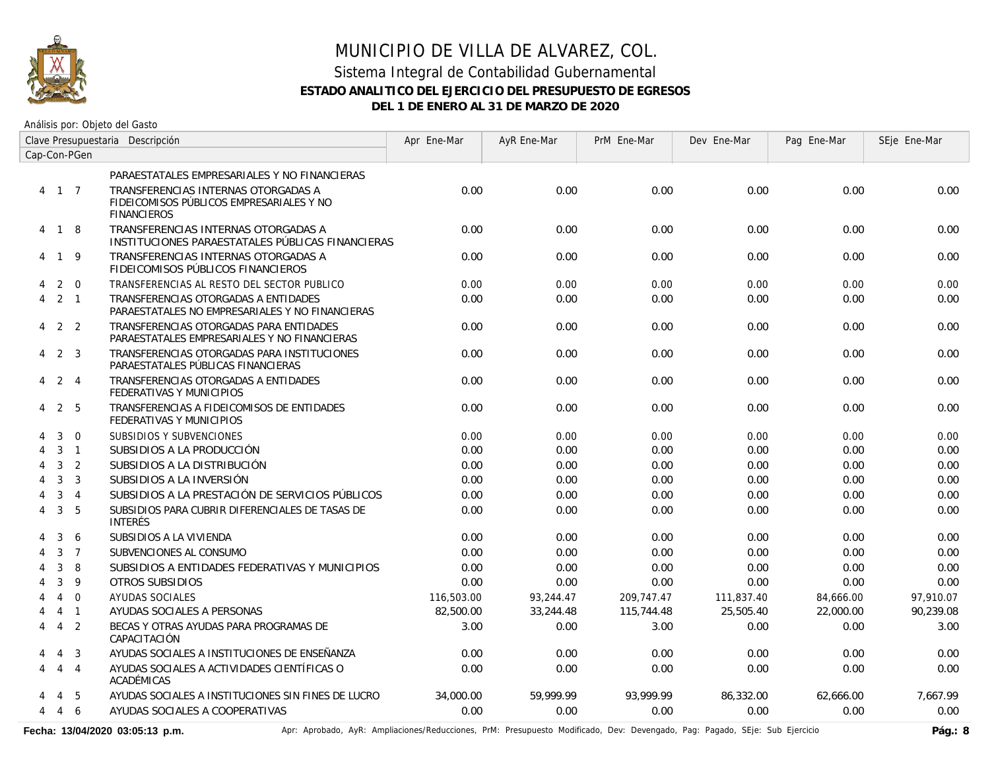

Análisis por: Objeto del Gasto

|                | Clave Presupuestaria Descripción |                |                                                                                                       | Apr Ene-Mar | AyR Ene-Mar | PrM Ene-Mar | Dev Ene-Mar | Pag Ene-Mar | SEje Ene-Mar |
|----------------|----------------------------------|----------------|-------------------------------------------------------------------------------------------------------|-------------|-------------|-------------|-------------|-------------|--------------|
|                |                                  | Cap-Con-PGen   |                                                                                                       |             |             |             |             |             |              |
|                |                                  |                | PARAESTATALES EMPRESARIALES Y NO FINANCIERAS                                                          |             |             |             |             |             |              |
|                | 4 1 7                            |                | TRANSFERENCIAS INTERNAS OTORGADAS A<br>FIDEICOMISOS PÚBLICOS EMPRESARIALES Y NO<br><b>FINANCIEROS</b> | 0.00        | 0.00        | 0.00        | 0.00        | 0.00        | 0.00         |
|                | 4 1 8                            |                | TRANSFERENCIAS INTERNAS OTORGADAS A<br>INSTITUCIONES PARAESTATALES PÚBLICAS FINANCIERAS               | 0.00        | 0.00        | 0.00        | 0.00        | 0.00        | 0.00         |
|                | 4 1 9                            |                | TRANSFERENCIAS INTERNAS OTORGADAS A<br>FIDEICOMISOS PÚBLICOS FINANCIEROS                              | 0.00        | 0.00        | 0.00        | 0.00        | 0.00        | 0.00         |
| 4              | 2                                | $\overline{0}$ | TRANSFERENCIAS AL RESTO DEL SECTOR PUBLICO                                                            | 0.00        | 0.00        | 0.00        | 0.00        | 0.00        | 0.00         |
| 4              |                                  | $2 \quad 1$    | TRANSFERENCIAS OTORGADAS A ENTIDADES<br>PARAESTATALES NO EMPRESARIALES Y NO FINANCIERAS               | 0.00        | 0.00        | 0.00        | 0.00        | 0.00        | 0.00         |
| $\overline{4}$ |                                  | 2 <sub>2</sub> | TRANSFERENCIAS OTORGADAS PARA ENTIDADES<br>PARAESTATALES EMPRESARIALES Y NO FINANCIERAS               | 0.00        | 0.00        | 0.00        | 0.00        | 0.00        | 0.00         |
| 4              |                                  | 2 <sub>3</sub> | TRANSFERENCIAS OTORGADAS PARA INSTITUCIONES<br>PARAESTATALES PÚBLICAS FINANCIERAS                     | 0.00        | 0.00        | 0.00        | 0.00        | 0.00        | 0.00         |
| 4              | 2                                | $\overline{4}$ | TRANSFERENCIAS OTORGADAS A ENTIDADES<br>FEDERATIVAS Y MUNICIPIOS                                      | 0.00        | 0.00        | 0.00        | 0.00        | 0.00        | 0.00         |
| 4              |                                  | 2 5            | TRANSFERENCIAS A FIDEICOMISOS DE ENTIDADES<br>FEDERATIVAS Y MUNICIPIOS                                | 0.00        | 0.00        | 0.00        | 0.00        | 0.00        | 0.00         |
|                | 3                                | $\overline{0}$ | SUBSIDIOS Y SUBVENCIONES                                                                              | 0.00        | 0.00        | 0.00        | 0.00        | 0.00        | 0.00         |
|                | 3                                | $\overline{1}$ | SUBSIDIOS A LA PRODUCCIÓN                                                                             | 0.00        | 0.00        | 0.00        | 0.00        | 0.00        | 0.00         |
| 4              | 3                                | 2              | SUBSIDIOS A LA DISTRIBUCIÓN                                                                           | 0.00        | 0.00        | 0.00        | 0.00        | 0.00        | 0.00         |
| 4              | $\mathbf{3}$                     | $\overline{3}$ | SUBSIDIOS A LA INVERSIÓN                                                                              | 0.00        | 0.00        | 0.00        | 0.00        | 0.00        | 0.00         |
| 4              | 3                                | $\overline{4}$ | SUBSIDIOS A LA PRESTACIÓN DE SERVICIOS PÚBLICOS                                                       | 0.00        | 0.00        | 0.00        | 0.00        | 0.00        | 0.00         |
| 4              | $\mathbf{3}$                     | 5              | SUBSIDIOS PARA CUBRIR DIFERENCIALES DE TASAS DE<br><b>INTERÉS</b>                                     | 0.00        | 0.00        | 0.00        | 0.00        | 0.00        | 0.00         |
|                | 3                                | 6              | SUBSIDIOS A LA VIVIENDA                                                                               | 0.00        | 0.00        | 0.00        | 0.00        | 0.00        | 0.00         |
|                | $\mathbf{3}$                     | $\overline{7}$ | SUBVENCIONES AL CONSUMO                                                                               | 0.00        | 0.00        | 0.00        | 0.00        | 0.00        | 0.00         |
|                | 3                                | 8              | SUBSIDIOS A ENTIDADES FEDERATIVAS Y MUNICIPIOS                                                        | 0.00        | 0.00        | 0.00        | 0.00        | 0.00        | 0.00         |
|                | $\mathbf{3}$                     | 9              | OTROS SUBSIDIOS                                                                                       | 0.00        | 0.00        | 0.00        | 0.00        | 0.00        | 0.00         |
|                | $\overline{4}$                   | $\overline{0}$ | AYUDAS SOCIALES                                                                                       | 116,503.00  | 93,244.47   | 209,747.47  | 111,837.40  | 84,666.00   | 97,910.07    |
|                | $\overline{4}$                   | $\overline{1}$ | AYUDAS SOCIALES A PERSONAS                                                                            | 82,500.00   | 33,244.48   | 115,744.48  | 25,505.40   | 22,000.00   | 90,239.08    |
| 4              | $\overline{4}$                   | 2              | BECAS Y OTRAS AYUDAS PARA PROGRAMAS DE<br>CAPACITACIÓN                                                | 3.00        | 0.00        | 3.00        | 0.00        | 0.00        | 3.00         |
| 4              | $\overline{4}$                   | 3              | AYUDAS SOCIALES A INSTITUCIONES DE ENSEÑANZA                                                          | 0.00        | 0.00        | 0.00        | 0.00        | 0.00        | 0.00         |
| 4              | $\overline{4}$                   | $\overline{4}$ | AYUDAS SOCIALES A ACTIVIDADES CIENTÍFICAS O<br>ACADÉMICAS                                             | 0.00        | 0.00        | 0.00        | 0.00        | 0.00        | 0.00         |
|                | 4                                | -5             | AYUDAS SOCIALES A INSTITUCIONES SIN FINES DE LUCRO                                                    | 34,000.00   | 59.999.99   | 93.999.99   | 86,332.00   | 62.666.00   | 7.667.99     |
| $\overline{4}$ | 4                                | 6              | AYUDAS SOCIALES A COOPERATIVAS                                                                        | 0.00        | 0.00        | 0.00        | 0.00        | 0.00        | 0.00         |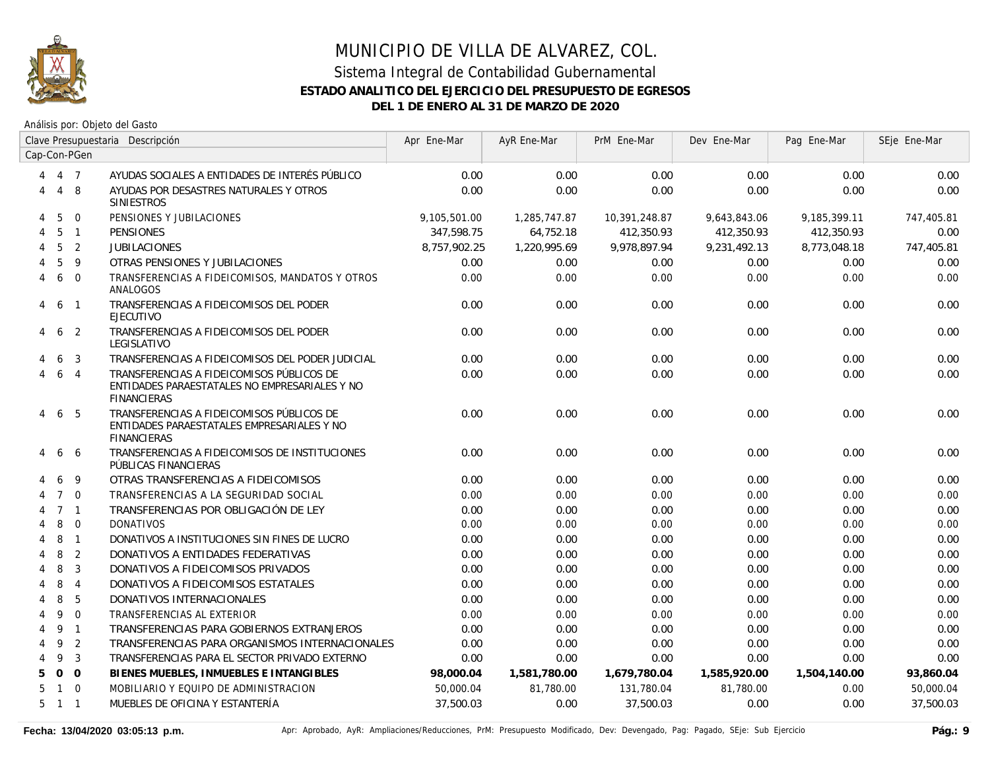

|   | Clave Presupuestaria Descripción |                  |                                                                                                                  | Apr Ene-Mar  | AyR Ene-Mar  | PrM Ene-Mar   | Dev Ene-Mar  | Pag Ene-Mar  | SEje Ene-Mar |
|---|----------------------------------|------------------|------------------------------------------------------------------------------------------------------------------|--------------|--------------|---------------|--------------|--------------|--------------|
|   |                                  | Cap-Con-PGen     |                                                                                                                  |              |              |               |              |              |              |
| 4 |                                  | 4 7              | AYUDAS SOCIALES A ENTIDADES DE INTERÉS PÚBLICO                                                                   | 0.00         | 0.00         | 0.00          | 0.00         | 0.00         | 0.00         |
| 4 | $\overline{4}$                   | 8                | AYUDAS POR DESASTRES NATURALES Y OTROS<br><b>SINIESTROS</b>                                                      | 0.00         | 0.00         | 0.00          | 0.00         | 0.00         | 0.00         |
| 4 | 5                                | $\mathbf 0$      | PENSIONES Y JUBILACIONES                                                                                         | 9,105,501.00 | 1,285,747.87 | 10,391,248.87 | 9,643,843.06 | 9,185,399.11 | 747,405.81   |
| 4 | 5                                | $\overline{1}$   | <b>PENSIONES</b>                                                                                                 | 347,598.75   | 64,752.18    | 412,350.93    | 412,350.93   | 412,350.93   | 0.00         |
| 4 | 5                                | $\overline{2}$   | <b>JUBILACIONES</b>                                                                                              | 8,757,902.25 | 1,220,995.69 | 9,978,897.94  | 9,231,492.13 | 8,773,048.18 | 747,405.81   |
|   | 5                                | 9                | OTRAS PENSIONES Y JUBILACIONES                                                                                   | 0.00         | 0.00         | 0.00          | 0.00         | 0.00         | 0.00         |
| 4 | 6                                | $\overline{0}$   | TRANSFERENCIAS A FIDEICOMISOS, MANDATOS Y OTROS<br>ANALOGOS                                                      | 0.00         | 0.00         | 0.00          | 0.00         | 0.00         | 0.00         |
| 4 | 6                                | $\overline{1}$   | TRANSFERENCIAS A FIDEICOMISOS DEL PODER<br><b>EJECUTIVO</b>                                                      | 0.00         | 0.00         | 0.00          | 0.00         | 0.00         | 0.00         |
| 4 | 6                                | $\overline{2}$   | TRANSFERENCIAS A FIDEICOMISOS DEL PODER<br>LEGISLATIVO                                                           | 0.00         | 0.00         | 0.00          | 0.00         | 0.00         | 0.00         |
|   | 6                                | 3                | TRANSFERENCIAS A FIDEICOMISOS DEL PODER JUDICIAL                                                                 | 0.00         | 0.00         | 0.00          | 0.00         | 0.00         | 0.00         |
|   | 6                                | $\overline{4}$   | TRANSFERENCIAS A FIDEICOMISOS PÚBLICOS DE<br>ENTIDADES PARAESTATALES NO EMPRESARIALES Y NO<br><b>FINANCIERAS</b> | 0.00         | 0.00         | 0.00          | 0.00         | 0.00         | 0.00         |
| 4 | 6                                | -5               | TRANSFERENCIAS A FIDEICOMISOS PÚBLICOS DE<br>ENTIDADES PARAESTATALES EMPRESARIALES Y NO<br><b>FINANCIERAS</b>    | 0.00         | 0.00         | 0.00          | 0.00         | 0.00         | 0.00         |
| 4 | 6                                | -6               | TRANSFERENCIAS A FIDEICOMISOS DE INSTITUCIONES<br>PÚBLICAS FINANCIERAS                                           | 0.00         | 0.00         | 0.00          | 0.00         | 0.00         | 0.00         |
|   | 6                                | 9                | OTRAS TRANSFERENCIAS A FIDEICOMISOS                                                                              | 0.00         | 0.00         | 0.00          | 0.00         | 0.00         | 0.00         |
| 4 | $7^{\circ}$                      | $\Omega$         | TRANSFERENCIAS A LA SEGURIDAD SOCIAL                                                                             | 0.00         | 0.00         | 0.00          | 0.00         | 0.00         | 0.00         |
|   |                                  | 7 <sub>1</sub>   | TRANSFERENCIAS POR OBLIGACIÓN DE LEY                                                                             | 0.00         | 0.00         | 0.00          | 0.00         | 0.00         | 0.00         |
|   | 8                                | $\overline{0}$   | <b>DONATIVOS</b>                                                                                                 | 0.00         | 0.00         | 0.00          | 0.00         | 0.00         | 0.00         |
|   | 8                                | $\overline{1}$   | DONATIVOS A INSTITUCIONES SIN FINES DE LUCRO                                                                     | 0.00         | 0.00         | 0.00          | 0.00         | 0.00         | 0.00         |
|   | 8                                | $\overline{2}$   | DONATIVOS A ENTIDADES FEDERATIVAS                                                                                | 0.00         | 0.00         | 0.00          | 0.00         | 0.00         | 0.00         |
|   | 8                                | 3                | DONATIVOS A FIDEICOMISOS PRIVADOS                                                                                | 0.00         | 0.00         | 0.00          | 0.00         | 0.00         | 0.00         |
| 4 | 8                                | $\overline{4}$   | DONATIVOS A FIDEICOMISOS ESTATALES                                                                               | 0.00         | 0.00         | 0.00          | 0.00         | 0.00         | 0.00         |
|   | 8                                | 5                | DONATIVOS INTERNACIONALES                                                                                        | 0.00         | 0.00         | 0.00          | 0.00         | 0.00         | 0.00         |
|   | 9                                | $\boldsymbol{0}$ | TRANSFERENCIAS AL EXTERIOR                                                                                       | 0.00         | 0.00         | 0.00          | 0.00         | 0.00         | 0.00         |
| 4 | 9                                | $\overline{1}$   | TRANSFERENCIAS PARA GOBIERNOS EXTRANJEROS                                                                        | 0.00         | 0.00         | 0.00          | 0.00         | 0.00         | 0.00         |
| 4 | 9                                | 2                | TRANSFERENCIAS PARA ORGANISMOS INTERNACIONALES                                                                   | 0.00         | 0.00         | 0.00          | 0.00         | 0.00         | 0.00         |
| 4 | 9                                | 3                | TRANSFERENCIAS PARA EL SECTOR PRIVADO EXTERNO                                                                    | 0.00         | 0.00         | 0.00          | 0.00         | 0.00         | 0.00         |
| 5 | $\Omega$                         | $\Omega$         | BIENES MUEBLES, INMUEBLES E INTANGIBLES                                                                          | 98,000.04    | 1,581,780.00 | 1,679,780.04  | 1,585,920.00 | 1,504,140.00 | 93,860.04    |
| 5 |                                  | $1 \quad 0$      | MOBILIARIO Y EQUIPO DE ADMINISTRACION                                                                            | 50,000.04    | 81,780.00    | 131,780.04    | 81.780.00    | 0.00         | 50,000.04    |
| 5 | $1\quad1$                        |                  | MUEBLES DE OFICINA Y ESTANTERÍA                                                                                  | 37,500.03    | 0.00         | 37,500.03     | 0.00         | 0.00         | 37,500.03    |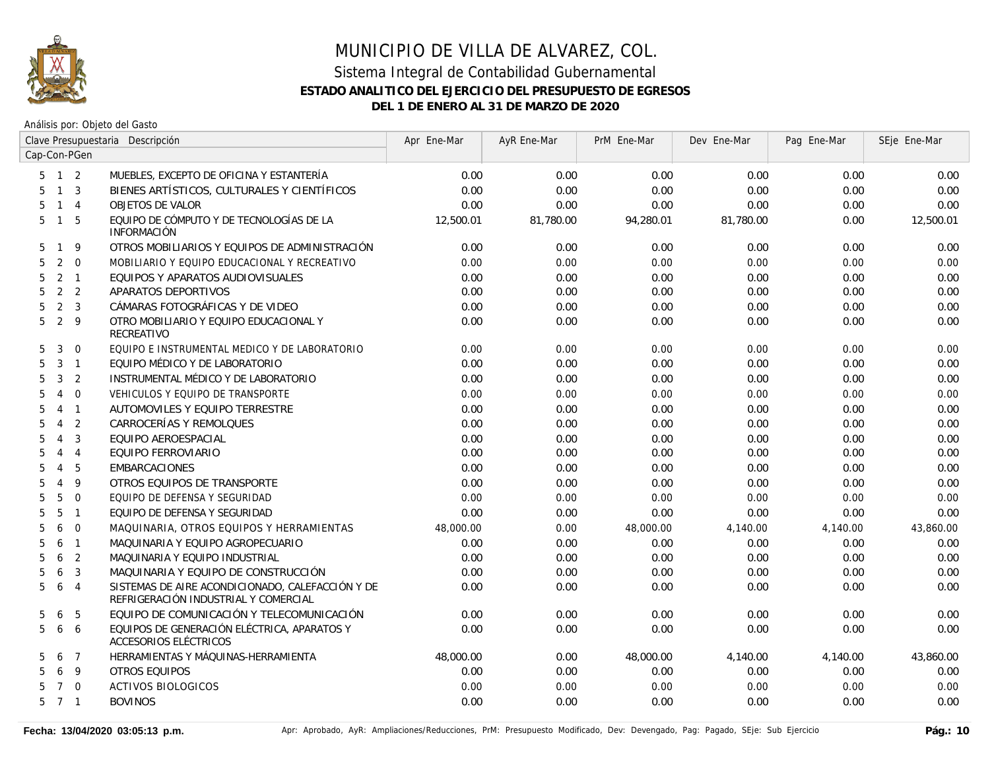

|                     | Clave Presupuestaria Descripción |                |                                                                                          | Apr Ene-Mar | AyR Ene-Mar | PrM Ene-Mar | Dev Ene-Mar | Pag Ene-Mar | SEje Ene-Mar |
|---------------------|----------------------------------|----------------|------------------------------------------------------------------------------------------|-------------|-------------|-------------|-------------|-------------|--------------|
| Cap-Con-PGen        |                                  |                |                                                                                          |             |             |             |             |             |              |
| $5 \quad 1 \quad 2$ |                                  |                | MUEBLES, EXCEPTO DE OFICINA Y ESTANTERÍA                                                 | 0.00        | 0.00        | 0.00        | 0.00        | 0.00        | 0.00         |
| 5                   |                                  | $1 \quad 3$    | BIENES ARTÍSTICOS, CULTURALES Y CIENTÍFICOS                                              | 0.00        | 0.00        | 0.00        | 0.00        | 0.00        | 0.00         |
| 5                   |                                  | $1 \quad 4$    | <b>OBJETOS DE VALOR</b>                                                                  | 0.00        | 0.00        | 0.00        | 0.00        | 0.00        | 0.00         |
| 5                   | $\mathbf{1}$                     | 5              | EQUIPO DE CÓMPUTO Y DE TECNOLOGÍAS DE LA<br><b>INFORMACIÓN</b>                           | 12,500.01   | 81,780.00   | 94,280.01   | 81,780.00   | 0.00        | 12,500.01    |
| 5                   | $\mathbf{1}$                     | 9              | OTROS MOBILIARIOS Y EQUIPOS DE ADMINISTRACIÓN                                            | 0.00        | 0.00        | 0.00        | 0.00        | 0.00        | 0.00         |
| 5                   | 2                                | $\overline{0}$ | MOBILIARIO Y EQUIPO EDUCACIONAL Y RECREATIVO                                             | 0.00        | 0.00        | 0.00        | 0.00        | 0.00        | 0.00         |
| 5                   |                                  | 2 <sub>1</sub> | EQUIPOS Y APARATOS AUDIOVISUALES                                                         | 0.00        | 0.00        | 0.00        | 0.00        | 0.00        | 0.00         |
| 5                   |                                  | 2 <sub>2</sub> | APARATOS DEPORTIVOS                                                                      | 0.00        | 0.00        | 0.00        | 0.00        | 0.00        | 0.00         |
| 5                   |                                  | 2 <sup>3</sup> | CÁMARAS FOTOGRÁFICAS Y DE VIDEO                                                          | 0.00        | 0.00        | 0.00        | 0.00        | 0.00        | 0.00         |
| 5                   |                                  | 2 <sup>9</sup> | OTRO MOBILIARIO Y EQUIPO EDUCACIONAL Y<br>RECREATIVO                                     | 0.00        | 0.00        | 0.00        | 0.00        | 0.00        | 0.00         |
| 5                   | 3                                | $\overline{0}$ | EQUIPO E INSTRUMENTAL MEDICO Y DE LABORATORIO                                            | 0.00        | 0.00        | 0.00        | 0.00        | 0.00        | 0.00         |
| 5                   |                                  | $3-1$          | EQUIPO MÉDICO Y DE LABORATORIO                                                           | 0.00        | 0.00        | 0.00        | 0.00        | 0.00        | 0.00         |
| 5                   | 3                                | 2              | INSTRUMENTAL MÉDICO Y DE LABORATORIO                                                     | 0.00        | 0.00        | 0.00        | 0.00        | 0.00        | 0.00         |
| 5                   | $\overline{4}$                   | $\Omega$       | VEHICULOS Y EQUIPO DE TRANSPORTE                                                         | 0.00        | 0.00        | 0.00        | 0.00        | 0.00        | 0.00         |
| 5<br>$\overline{4}$ |                                  | $\overline{1}$ | AUTOMOVILES Y EQUIPO TERRESTRE                                                           | 0.00        | 0.00        | 0.00        | 0.00        | 0.00        | 0.00         |
| 5<br>$\overline{4}$ |                                  | $\overline{2}$ | CARROCERÍAS Y REMOLQUES                                                                  | 0.00        | 0.00        | 0.00        | 0.00        | 0.00        | 0.00         |
| 5<br>$\overline{4}$ |                                  | 3              | EQUIPO AEROESPACIAL                                                                      | 0.00        | 0.00        | 0.00        | 0.00        | 0.00        | 0.00         |
| 5<br>$\overline{4}$ |                                  | $\overline{4}$ | EQUIPO FERROVIARIO                                                                       | 0.00        | 0.00        | 0.00        | 0.00        | 0.00        | 0.00         |
| 5<br>$\overline{4}$ |                                  | 5              | <b>EMBARCACIONES</b>                                                                     | 0.00        | 0.00        | 0.00        | 0.00        | 0.00        | 0.00         |
| 5<br>$\overline{4}$ |                                  | 9              | OTROS EQUIPOS DE TRANSPORTE                                                              | 0.00        | 0.00        | 0.00        | 0.00        | 0.00        | 0.00         |
| 5                   | 5                                | $\mathbf 0$    | EQUIPO DE DEFENSA Y SEGURIDAD                                                            | 0.00        | 0.00        | 0.00        | 0.00        | 0.00        | 0.00         |
| 5                   | 5                                | $\mathbf{1}$   | EQUIPO DE DEFENSA Y SEGURIDAD                                                            | 0.00        | 0.00        | 0.00        | 0.00        | 0.00        | 0.00         |
| 5                   | 6                                | $\mathbf 0$    | MAQUINARIA, OTROS EQUIPOS Y HERRAMIENTAS                                                 | 48,000.00   | 0.00        | 48,000.00   | 4,140.00    | 4,140.00    | 43,860.00    |
| 5                   | 6                                | $\mathbf{1}$   | MAQUINARIA Y EQUIPO AGROPECUARIO                                                         | 0.00        | 0.00        | 0.00        | 0.00        | 0.00        | 0.00         |
| 5                   | 6                                | 2              | MAQUINARIA Y EQUIPO INDUSTRIAL                                                           | 0.00        | 0.00        | 0.00        | 0.00        | 0.00        | 0.00         |
| 5                   | 6                                | 3              | MAQUINARIA Y EQUIPO DE CONSTRUCCIÓN                                                      | 0.00        | 0.00        | 0.00        | 0.00        | 0.00        | 0.00         |
| 5                   | 6                                | $\overline{4}$ | SISTEMAS DE AIRE ACONDICIONADO, CALEFACCIÓN Y DE<br>REFRIGERACIÓN INDUSTRIAL Y COMERCIAL | 0.00        | 0.00        | 0.00        | 0.00        | 0.00        | 0.00         |
| 5                   | 6                                | 5              | EQUIPO DE COMUNICACIÓN Y TELECOMUNICACIÓN                                                | 0.00        | 0.00        | 0.00        | 0.00        | 0.00        | 0.00         |
| 5                   | 6                                | 6              | EQUIPOS DE GENERACIÓN ELÉCTRICA, APARATOS Y<br>ACCESORIOS ELÉCTRICOS                     | 0.00        | 0.00        | 0.00        | 0.00        | 0.00        | 0.00         |
| 5                   | 6                                | $\overline{7}$ | HERRAMIENTAS Y MÁQUINAS-HERRAMIENTA                                                      | 48,000.00   | 0.00        | 48,000.00   | 4,140.00    | 4,140.00    | 43,860.00    |
| 5                   | 6                                | $\overline{9}$ | OTROS EQUIPOS                                                                            | 0.00        | 0.00        | 0.00        | 0.00        | 0.00        | 0.00         |
| 5                   |                                  | $7\quad$ 0     | <b>ACTIVOS BIOLOGICOS</b>                                                                | 0.00        | 0.00        | 0.00        | 0.00        | 0.00        | 0.00         |
| 7 <sub>1</sub><br>5 |                                  |                | <b>BOVINOS</b>                                                                           | 0.00        | 0.00        | 0.00        | 0.00        | 0.00        | 0.00         |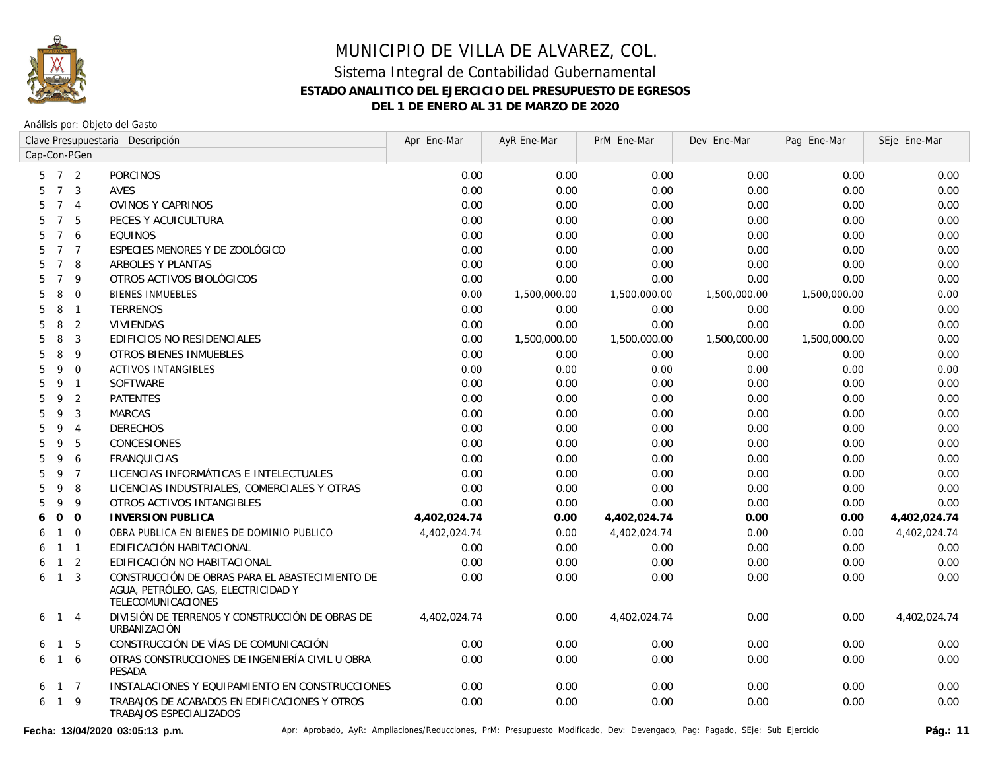

Análisis por: Objeto del Gasto

|                  | Clave Presupuestaria Descripción |                | Apr Ene-Mar                                                                                                  | AyR Ene-Mar  | PrM Ene-Mar  | Dev Ene-Mar  | Pag Ene-Mar  | SEje Ene-Mar |              |
|------------------|----------------------------------|----------------|--------------------------------------------------------------------------------------------------------------|--------------|--------------|--------------|--------------|--------------|--------------|
| Cap-Con-PGen     |                                  |                |                                                                                                              |              |              |              |              |              |              |
| 5                |                                  | 7 <sup>2</sup> | <b>PORCINOS</b>                                                                                              | 0.00         | 0.00         | 0.00         | 0.00         | 0.00         | 0.00         |
| 5                | $\overline{7}$                   | 3              | <b>AVES</b>                                                                                                  | 0.00         | 0.00         | 0.00         | 0.00         | 0.00         | 0.00         |
| 5                | $7^{\circ}$                      | $\overline{4}$ | <b>OVINOS Y CAPRINOS</b>                                                                                     | 0.00         | 0.00         | 0.00         | 0.00         | 0.00         | 0.00         |
| 5                | $7\overline{ }$                  | 5              | PECES Y ACUICULTURA                                                                                          | 0.00         | 0.00         | 0.00         | 0.00         | 0.00         | 0.00         |
| 5                |                                  | 7 6            | <b>EQUINOS</b>                                                                                               | 0.00         | 0.00         | 0.00         | 0.00         | 0.00         | 0.00         |
| 5                | $7^{\circ}$                      | $\overline{7}$ | ESPECIES MENORES Y DE ZOOLÓGICO                                                                              | 0.00         | 0.00         | 0.00         | 0.00         | 0.00         | 0.00         |
| 5                | $\overline{7}$                   | 8              | ARBOLES Y PLANTAS                                                                                            | 0.00         | 0.00         | 0.00         | 0.00         | 0.00         | 0.00         |
| 5                | $7^{\circ}$                      | 9              | OTROS ACTIVOS BIOLÓGICOS                                                                                     | 0.00         | 0.00         | 0.00         | 0.00         | 0.00         | 0.00         |
| 5                | 8                                | $\mathbf 0$    | <b>BIENES INMUEBLES</b>                                                                                      | 0.00         | 1,500,000.00 | 1,500,000.00 | 1,500,000.00 | 1,500,000.00 | 0.00         |
| 5                | 8                                | $\overline{1}$ | <b>TERRENOS</b>                                                                                              | 0.00         | 0.00         | 0.00         | 0.00         | 0.00         | 0.00         |
| 5                | 8                                | 2              | <b>VIVIENDAS</b>                                                                                             | 0.00         | 0.00         | 0.00         | 0.00         | 0.00         | 0.00         |
| 5                | 8                                | 3              | EDIFICIOS NO RESIDENCIALES                                                                                   | 0.00         | 1,500,000.00 | 1,500,000.00 | 1,500,000.00 | 1,500,000.00 | 0.00         |
| 5                | 8                                | 9              | <b>OTROS BIENES INMUEBLES</b>                                                                                | 0.00         | 0.00         | 0.00         | 0.00         | 0.00         | 0.00         |
| 5                | 9                                | $\Omega$       | <b>ACTIVOS INTANGIBLES</b>                                                                                   | 0.00         | 0.00         | 0.00         | 0.00         | 0.00         | 0.00         |
| 5                | 9                                | $\overline{1}$ | <b>SOFTWARE</b>                                                                                              | 0.00         | 0.00         | 0.00         | 0.00         | 0.00         | 0.00         |
| 5                | 9                                | 2              | <b>PATENTES</b>                                                                                              | 0.00         | 0.00         | 0.00         | 0.00         | 0.00         | 0.00         |
| 5                | 9                                | 3              | <b>MARCAS</b>                                                                                                | 0.00         | 0.00         | 0.00         | 0.00         | 0.00         | 0.00         |
| 5                | 9                                | $\overline{4}$ | <b>DERECHOS</b>                                                                                              | 0.00         | 0.00         | 0.00         | 0.00         | 0.00         | 0.00         |
| 5                | 9                                | 5              | CONCESIONES                                                                                                  | 0.00         | 0.00         | 0.00         | 0.00         | 0.00         | 0.00         |
| 5                | 9                                | 6              | <b>FRANQUICIAS</b>                                                                                           | 0.00         | 0.00         | 0.00         | 0.00         | 0.00         | 0.00         |
| 5.               | 9                                | $\overline{7}$ | LICENCIAS INFORMÁTICAS E INTELECTUALES                                                                       | 0.00         | 0.00         | 0.00         | 0.00         | 0.00         | 0.00         |
| 5                | 9                                | 8              | LICENCIAS INDUSTRIALES, COMERCIALES Y OTRAS                                                                  | 0.00         | 0.00         | 0.00         | 0.00         | 0.00         | 0.00         |
| 5                | 9                                | 9              | OTROS ACTIVOS INTANGIBLES                                                                                    | 0.00         | 0.00         | 0.00         | 0.00         | 0.00         | 0.00         |
| $\mathbf 0$<br>6 |                                  | $\mathbf 0$    | <b>INVERSION PUBLICA</b>                                                                                     | 4,402,024.74 | 0.00         | 4,402,024.74 | 0.00         | 0.00         | 4,402,024.74 |
| 6                | $\mathbf{1}$                     | $\mathbf 0$    | OBRA PUBLICA EN BIENES DE DOMINIO PUBLICO                                                                    | 4,402,024.74 | 0.00         | 4,402,024.74 | 0.00         | 0.00         | 4,402,024.74 |
| 6                |                                  | $1 \quad 1$    | EDIFICACIÓN HABITACIONAL                                                                                     | 0.00         | 0.00         | 0.00         | 0.00         | 0.00         | 0.00         |
| 6                | $\mathbf{1}$                     | 2              | EDIFICACIÓN NO HABITACIONAL                                                                                  | 0.00         | 0.00         | 0.00         | 0.00         | 0.00         | 0.00         |
| 6                | $\mathbf{1}$                     | 3              | CONSTRUCCIÓN DE OBRAS PARA EL ABASTECIMIENTO DE<br>AGUA, PETRÓLEO, GAS, ELECTRICIDAD Y<br>TELECOMUNICACIONES | 0.00         | 0.00         | 0.00         | 0.00         | 0.00         | 0.00         |
| 6                | $\mathbf{1}$                     | $\overline{4}$ | DIVISIÓN DE TERRENOS Y CONSTRUCCIÓN DE OBRAS DE<br>URBANIZACIÓN                                              | 4,402,024.74 | 0.00         | 4,402,024.74 | 0.00         | 0.00         | 4,402,024.74 |
| 6                | $\mathbf{1}$                     | 5              | CONSTRUCCIÓN DE VÍAS DE COMUNICACIÓN                                                                         | 0.00         | 0.00         | 0.00         | 0.00         | 0.00         | 0.00         |
| 6                |                                  | $1\quad6$      | OTRAS CONSTRUCCIONES DE INGENIERÍA CIVIL U OBRA<br>PESADA                                                    | 0.00         | 0.00         | 0.00         | 0.00         | 0.00         | 0.00         |
| 6                |                                  | $1 \quad 7$    | INSTALACIONES Y EQUIPAMIENTO EN CONSTRUCCIONES                                                               | 0.00         | 0.00         | 0.00         | 0.00         | 0.00         | 0.00         |
| 6                |                                  | $1 \quad 9$    | TRABAJOS DE ACABADOS EN EDIFICACIONES Y OTROS<br>TRABAJOS ESPECIALIZADOS                                     | 0.00         | 0.00         | 0.00         | 0.00         | 0.00         | 0.00         |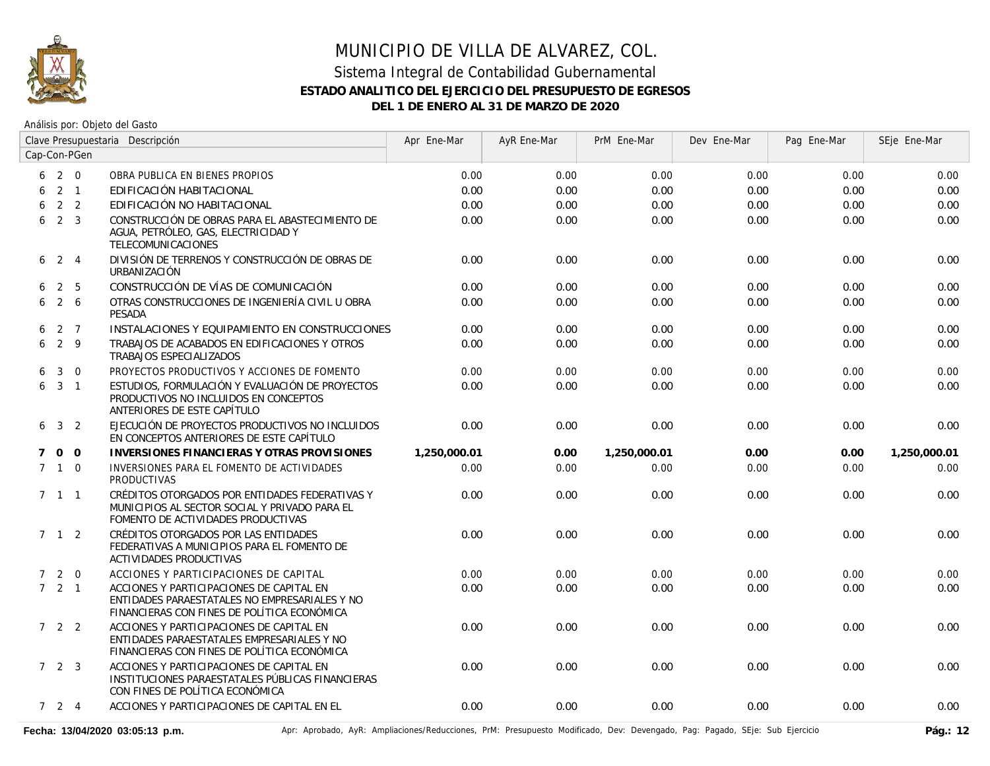

Análisis por: Objeto del Gasto

|   | Clave Presupuestaria Descripción |                | Apr Ene-Mar                                                                                                                              | AyR Ene-Mar  | PrM Ene-Mar | Dev Ene-Mar  | Pag Ene-Mar | SEje Ene-Mar |              |
|---|----------------------------------|----------------|------------------------------------------------------------------------------------------------------------------------------------------|--------------|-------------|--------------|-------------|--------------|--------------|
|   |                                  | Cap-Con-PGen   |                                                                                                                                          |              |             |              |             |              |              |
|   | 620                              |                | OBRA PUBLICA EN BIENES PROPIOS                                                                                                           | 0.00         | 0.00        | 0.00         | 0.00        | 0.00         | 0.00         |
| 6 | $2 \quad 1$                      |                | EDIFICACIÓN HABITACIONAL                                                                                                                 | 0.00         | 0.00        | 0.00         | 0.00        | 0.00         | 0.00         |
| 6 | 2 <sub>2</sub>                   |                | EDIFICACIÓN NO HABITACIONAL                                                                                                              | 0.00         | 0.00        | 0.00         | 0.00        | 0.00         | 0.00         |
| 6 | 2 <sup>3</sup>                   |                | CONSTRUCCIÓN DE OBRAS PARA EL ABASTECIMIENTO DE<br>AGUA, PETRÓLEO, GAS, ELECTRICIDAD Y<br><b>TELECOMUNICACIONES</b>                      | 0.00         | 0.00        | 0.00         | 0.00        | 0.00         | 0.00         |
| 6 | 2 4                              |                | DIVISIÓN DE TERRENOS Y CONSTRUCCIÓN DE OBRAS DE<br>URBANIZACIÓN                                                                          | 0.00         | 0.00        | 0.00         | 0.00        | 0.00         | 0.00         |
| 6 |                                  | 2 <sub>5</sub> | CONSTRUCCIÓN DE VÍAS DE COMUNICACIÓN                                                                                                     | 0.00         | 0.00        | 0.00         | 0.00        | 0.00         | 0.00         |
| 6 |                                  | $2\quad 6$     | OTRAS CONSTRUCCIONES DE INGENIERÍA CIVIL U OBRA<br><b>PESADA</b>                                                                         | 0.00         | 0.00        | 0.00         | 0.00        | 0.00         | 0.00         |
| 6 | $2 \overline{7}$                 |                | INSTALACIONES Y EQUIPAMIENTO EN CONSTRUCCIONES                                                                                           | 0.00         | 0.00        | 0.00         | 0.00        | 0.00         | 0.00         |
| 6 | $2 \quad 9$                      |                | TRABAJOS DE ACABADOS EN EDIFICACIONES Y OTROS<br>TRABAJOS ESPECIALIZADOS                                                                 | 0.00         | 0.00        | 0.00         | 0.00        | 0.00         | 0.00         |
| 6 | 3                                | $\overline{0}$ | PROYECTOS PRODUCTIVOS Y ACCIONES DE FOMENTO                                                                                              | 0.00         | 0.00        | 0.00         | 0.00        | 0.00         | 0.00         |
| 6 | $3 \quad 1$                      |                | ESTUDIOS, FORMULACIÓN Y EVALUACIÓN DE PROYECTOS<br>PRODUCTIVOS NO INCLUIDOS EN CONCEPTOS<br>ANTERIORES DE ESTE CAPÍTULO                  | 0.00         | 0.00        | 0.00         | 0.00        | 0.00         | 0.00         |
| 6 | 3 <sup>2</sup>                   |                | EJECUCIÓN DE PROYECTOS PRODUCTIVOS NO INCLUIDOS<br>EN CONCEPTOS ANTERIORES DE ESTE CAPÍTULO                                              | 0.00         | 0.00        | 0.00         | 0.00        | 0.00         | 0.00         |
| 7 | $0\quad 0$                       |                | INVERSIONES FINANCIERAS Y OTRAS PROVISIONES                                                                                              | 1,250,000.01 | 0.00        | 1,250,000.01 | 0.00        | 0.00         | 1,250,000.01 |
|   | $7\quad1\quad0$                  |                | INVERSIONES PARA EL FOMENTO DE ACTIVIDADES<br><b>PRODUCTIVAS</b>                                                                         | 0.00         | 0.00        | 0.00         | 0.00        | 0.00         | 0.00         |
|   | $7 \quad 1 \quad 1$              |                | CRÉDITOS OTORGADOS POR ENTIDADES FEDERATIVAS Y<br>MUNICIPIOS AL SECTOR SOCIAL Y PRIVADO PARA EL<br>FOMENTO DE ACTIVIDADES PRODUCTIVAS    | 0.00         | 0.00        | 0.00         | 0.00        | 0.00         | 0.00         |
|   | $7 \quad 1 \quad 2$              |                | CRÉDITOS OTORGADOS POR LAS ENTIDADES<br>FEDERATIVAS A MUNICIPIOS PARA EL FOMENTO DE<br>ACTIVIDADES PRODUCTIVAS                           | 0.00         | 0.00        | 0.00         | 0.00        | 0.00         | 0.00         |
|   | $7 2 0$                          |                | ACCIONES Y PARTICIPACIONES DE CAPITAL                                                                                                    | 0.00         | 0.00        | 0.00         | 0.00        | 0.00         | 0.00         |
|   | $7 \quad 2 \quad 1$              |                | ACCIONES Y PARTICIPACIONES DE CAPITAL EN<br>ENTIDADES PARAESTATALES NO EMPRESARIALES Y NO<br>FINANCIERAS CON FINES DE POLÍTICA ECONÓMICA | 0.00         | 0.00        | 0.00         | 0.00        | 0.00         | 0.00         |
|   | 722                              |                | ACCIONES Y PARTICIPACIONES DE CAPITAL EN<br>ENTIDADES PARAESTATALES EMPRESARIALES Y NO<br>FINANCIERAS CON FINES DE POLÍTICA ECONÓMICA    | 0.00         | 0.00        | 0.00         | 0.00        | 0.00         | 0.00         |
|   | $7\quad 2\quad 3$                |                | ACCIONES Y PARTICIPACIONES DE CAPITAL EN<br>INSTITUCIONES PARAESTATALES PÚBLICAS FINANCIERAS<br>CON FINES DE POLÍTICA ECONÓMICA          | 0.00         | 0.00        | 0.00         | 0.00        | 0.00         | 0.00         |
|   | 724                              |                | ACCIONES Y PARTICIPACIONES DE CAPITAL EN EL                                                                                              | 0.00         | 0.00        | 0.00         | 0.00        | 0.00         | 0.00         |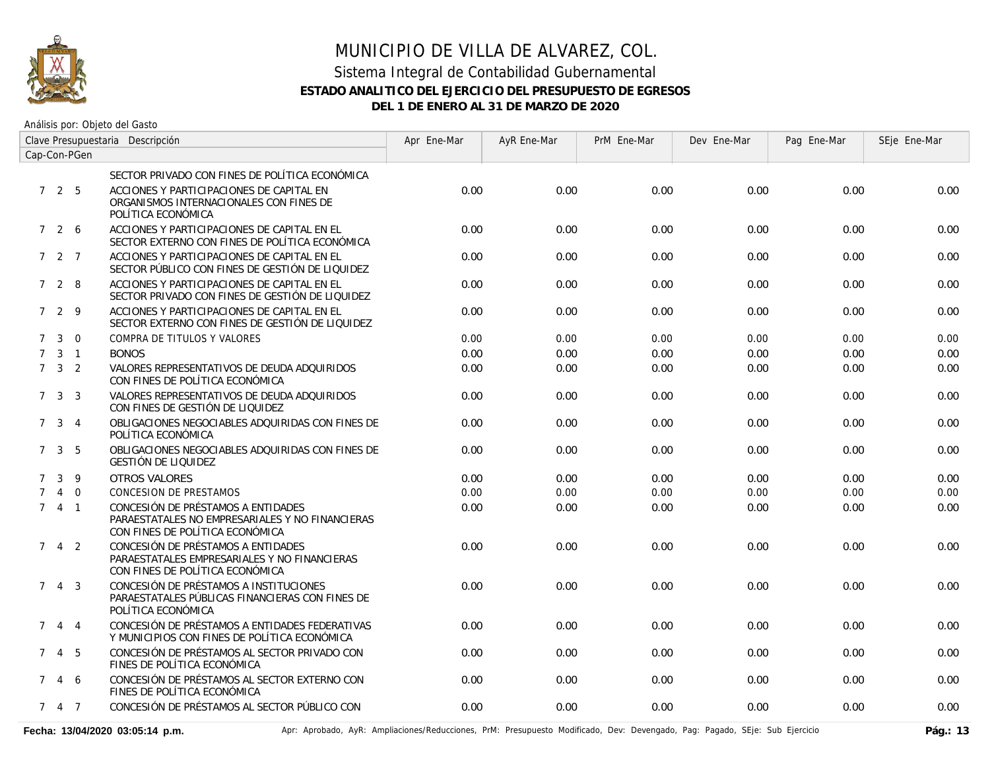

Análisis por: Objeto del Gasto

| Clave Presupuestaria Descripción |                     |                |                                                                                                                          | Apr Ene-Mar | AyR Ene-Mar | PrM Ene-Mar | Dev Ene-Mar | Pag Ene-Mar | SEje Ene-Mar |
|----------------------------------|---------------------|----------------|--------------------------------------------------------------------------------------------------------------------------|-------------|-------------|-------------|-------------|-------------|--------------|
| Cap-Con-PGen                     |                     |                |                                                                                                                          |             |             |             |             |             |              |
|                                  |                     |                | SECTOR PRIVADO CON FINES DE POLÍTICA ECONÓMICA                                                                           |             |             |             |             |             |              |
|                                  | 725                 |                | ACCIONES Y PARTICIPACIONES DE CAPITAL EN<br>ORGANISMOS INTERNACIONALES CON FINES DE<br>POLÍTICA ECONÓMICA                | 0.00        | 0.00        | 0.00        | 0.00        | 0.00        | 0.00         |
|                                  | 726                 |                | ACCIONES Y PARTICIPACIONES DE CAPITAL EN EL<br>SECTOR EXTERNO CON FINES DE POLÍTICA ECONÓMICA                            | 0.00        | 0.00        | 0.00        | 0.00        | 0.00        | 0.00         |
|                                  | $727$               |                | ACCIONES Y PARTICIPACIONES DE CAPITAL EN EL<br>SECTOR PÚBLICO CON FINES DE GESTIÓN DE LIQUIDEZ                           | 0.00        | 0.00        | 0.00        | 0.00        | 0.00        | 0.00         |
|                                  | 728                 |                | ACCIONES Y PARTICIPACIONES DE CAPITAL EN EL<br>SECTOR PRIVADO CON FINES DE GESTIÓN DE LIQUIDEZ                           | 0.00        | 0.00        | 0.00        | 0.00        | 0.00        | 0.00         |
|                                  | 729                 |                | ACCIONES Y PARTICIPACIONES DE CAPITAL EN EL<br>SECTOR EXTERNO CON FINES DE GESTIÓN DE LIQUIDEZ                           | 0.00        | 0.00        | 0.00        | 0.00        | 0.00        | 0.00         |
| $7^{\circ}$                      | $\mathbf{3}$        | $\Omega$       | COMPRA DE TITULOS Y VALORES                                                                                              | 0.00        | 0.00        | 0.00        | 0.00        | 0.00        | 0.00         |
| $7^{\circ}$                      |                     | $3 \quad 1$    | <b>BONOS</b>                                                                                                             | 0.00        | 0.00        | 0.00        | 0.00        | 0.00        | 0.00         |
|                                  | $7 \quad 3 \quad 2$ |                | VALORES REPRESENTATIVOS DE DEUDA ADQUIRIDOS<br>CON FINES DE POLÍTICA ECONÓMICA                                           | 0.00        | 0.00        | 0.00        | 0.00        | 0.00        | 0.00         |
|                                  | 7 <sup>3</sup>      | -3             | VALORES REPRESENTATIVOS DE DEUDA ADQUIRIDOS<br>CON FINES DE GESTIÓN DE LIQUIDEZ                                          | 0.00        | 0.00        | 0.00        | 0.00        | 0.00        | 0.00         |
|                                  | 7 <sup>3</sup>      | $\overline{4}$ | OBLIGACIONES NEGOCIABLES ADQUIRIDAS CON FINES DE<br>POLÍTICA ECONÓMICA                                                   | 0.00        | 0.00        | 0.00        | 0.00        | 0.00        | 0.00         |
|                                  | $\mathbf{3}$<br>7   | 5              | OBLIGACIONES NEGOCIABLES ADQUIRIDAS CON FINES DE<br>GESTIÓN DE LIQUIDEZ                                                  | 0.00        | 0.00        | 0.00        | 0.00        | 0.00        | 0.00         |
| $7^{\circ}$                      | 3                   | 9              | <b>OTROS VALORES</b>                                                                                                     | 0.00        | 0.00        | 0.00        | 0.00        | 0.00        | 0.00         |
| $\mathcal{I}$                    | $\overline{4}$      | $\overline{0}$ | <b>CONCESION DE PRESTAMOS</b>                                                                                            | 0.00        | 0.00        | 0.00        | 0.00        | 0.00        | 0.00         |
|                                  | 741                 |                | CONCESIÓN DE PRÉSTAMOS A ENTIDADES<br>PARAESTATALES NO EMPRESARIALES Y NO FINANCIERAS<br>CON FINES DE POLÍTICA ECONÓMICA | 0.00        | 0.00        | 0.00        | 0.00        | 0.00        | 0.00         |
| $7^{\circ}$                      |                     | $4\quad 2$     | CONCESIÓN DE PRÉSTAMOS A ENTIDADES<br>PARAESTATALES EMPRESARIALES Y NO FINANCIERAS<br>CON FINES DE POLÍTICA ECONÓMICA    | 0.00        | 0.00        | 0.00        | 0.00        | 0.00        | 0.00         |
|                                  | 743                 |                | CONCESIÓN DE PRÉSTAMOS A INSTITUCIONES<br>PARAESTATALES PÚBLICAS FINANCIERAS CON FINES DE<br>POLÍTICA ECONÓMICA          | 0.00        | 0.00        | 0.00        | 0.00        | 0.00        | 0.00         |
| $7^{\circ}$                      | 4                   | $\overline{4}$ | CONCESIÓN DE PRÉSTAMOS A ENTIDADES FEDERATIVAS<br>Y MUNICIPIOS CON FINES DE POLÍTICA ECONÓMICA                           | 0.00        | 0.00        | 0.00        | 0.00        | 0.00        | 0.00         |
|                                  | 7                   | 4 5            | CONCESIÓN DE PRÉSTAMOS AL SECTOR PRIVADO CON<br>FINES DE POLÍTICA ECONÓMICA                                              | 0.00        | 0.00        | 0.00        | 0.00        | 0.00        | 0.00         |
| $7^{\circ}$                      |                     | 4 6            | CONCESIÓN DE PRÉSTAMOS AL SECTOR EXTERNO CON<br>FINES DE POLÍTICA ECONÓMICA                                              | 0.00        | 0.00        | 0.00        | 0.00        | 0.00        | 0.00         |
|                                  | 7 4 7               |                | CONCESIÓN DE PRÉSTAMOS AL SECTOR PÚBLICO CON                                                                             | 0.00        | 0.00        | 0.00        | 0.00        | 0.00        | 0.00         |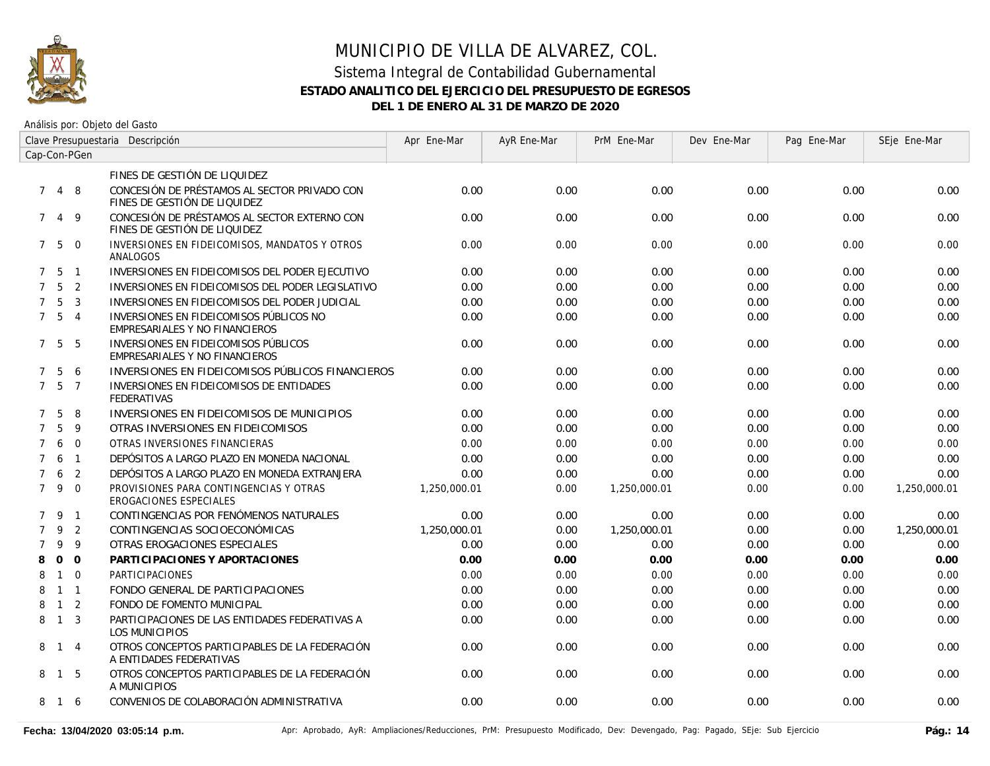

| Clave Presupuestaria Descripción |                   |                |                                                                              | Apr Ene-Mar  | AyR Ene-Mar | PrM Ene-Mar  | Dev Ene-Mar | Pag Ene-Mar | SEje Ene-Mar |
|----------------------------------|-------------------|----------------|------------------------------------------------------------------------------|--------------|-------------|--------------|-------------|-------------|--------------|
|                                  |                   | Cap-Con-PGen   |                                                                              |              |             |              |             |             |              |
|                                  |                   |                | FINES DE GESTIÓN DE LIQUIDEZ                                                 |              |             |              |             |             |              |
| $7^{\circ}$                      |                   | 4 8            | CONCESIÓN DE PRÉSTAMOS AL SECTOR PRIVADO CON<br>FINES DE GESTIÓN DE LIQUIDEZ | 0.00         | 0.00        | 0.00         | 0.00        | 0.00        | 0.00         |
| 7                                | 4                 | - 9            | CONCESIÓN DE PRÉSTAMOS AL SECTOR EXTERNO CON<br>FINES DE GESTIÓN DE LIQUIDEZ | 0.00         | 0.00        | 0.00         | 0.00        | 0.00        | 0.00         |
|                                  | $7\quad 5\quad 0$ |                | INVERSIONES EN FIDEICOMISOS, MANDATOS Y OTROS<br>ANALOGOS                    | 0.00         | 0.00        | 0.00         | 0.00        | 0.00        | 0.00         |
|                                  | 7 <sub>5</sub>    | $\overline{1}$ | INVERSIONES EN FIDEICOMISOS DEL PODER EJECUTIVO                              | 0.00         | 0.00        | 0.00         | 0.00        | 0.00        | 0.00         |
| $7^{\circ}$                      | 5                 | 2              | INVERSIONES EN FIDEICOMISOS DEL PODER LEGISLATIVO                            | 0.00         | 0.00        | 0.00         | 0.00        | 0.00        | 0.00         |
| $7^{\circ}$                      | 5                 | 3              | INVERSIONES EN FIDEICOMISOS DEL PODER JUDICIAL                               | 0.00         | 0.00        | 0.00         | 0.00        | 0.00        | 0.00         |
| $7^{\circ}$                      | $5\overline{)}$   | $\overline{4}$ | INVERSIONES EN FIDEICOMISOS PÚBLICOS NO<br>EMPRESARIALES Y NO FINANCIEROS    | 0.00         | 0.00        | 0.00         | 0.00        | 0.00        | 0.00         |
|                                  | 7 <sub>5</sub>    | -5             | INVERSIONES EN FIDEICOMISOS PÚBLICOS<br>EMPRESARIALES Y NO FINANCIEROS       | 0.00         | 0.00        | 0.00         | 0.00        | 0.00        | 0.00         |
| $\mathcal{I}$                    | 5                 | 6              | INVERSIONES EN FIDEICOMISOS PÚBLICOS FINANCIEROS                             | 0.00         | 0.00        | 0.00         | 0.00        | 0.00        | 0.00         |
| $7^{\circ}$                      | 5                 | $\overline{7}$ | INVERSIONES EN FIDEICOMISOS DE ENTIDADES<br><b>FEDERATIVAS</b>               | 0.00         | 0.00        | 0.00         | 0.00        | 0.00        | 0.00         |
| $\mathcal{I}$                    | 5                 | 8              | INVERSIONES EN FIDEICOMISOS DE MUNICIPIOS                                    | 0.00         | 0.00        | 0.00         | 0.00        | 0.00        | 0.00         |
| $\overline{7}$                   | 5                 | 9              | OTRAS INVERSIONES EN FIDEICOMISOS                                            | 0.00         | 0.00        | 0.00         | 0.00        | 0.00        | 0.00         |
| $\overline{7}$                   | 6                 | $\mathbf 0$    | OTRAS INVERSIONES FINANCIERAS                                                | 0.00         | 0.00        | 0.00         | 0.00        | 0.00        | 0.00         |
| $\overline{7}$                   | 6                 | $\overline{1}$ | DEPÓSITOS A LARGO PLAZO EN MONEDA NACIONAL                                   | 0.00         | 0.00        | 0.00         | 0.00        | 0.00        | 0.00         |
| $\overline{7}$                   | 6                 | 2              | DEPÓSITOS A LARGO PLAZO EN MONEDA EXTRANJERA                                 | 0.00         | 0.00        | 0.00         | 0.00        | 0.00        | 0.00         |
| $7^{\circ}$                      | 9                 | $\overline{0}$ | PROVISIONES PARA CONTINGENCIAS Y OTRAS<br><b>EROGACIONES ESPECIALES</b>      | 1,250,000.01 | 0.00        | 1,250,000.01 | 0.00        | 0.00        | 1,250,000.01 |
|                                  | 7 9               | $\overline{1}$ | CONTINGENCIAS POR FENÓMENOS NATURALES                                        | 0.00         | 0.00        | 0.00         | 0.00        | 0.00        | 0.00         |
| $\overline{7}$                   | 9                 | 2              | CONTINGENCIAS SOCIOECONÓMICAS                                                | 1,250,000.01 | 0.00        | 1,250,000.01 | 0.00        | 0.00        | 1,250,000.01 |
| 7                                | 9                 | 9              | OTRAS EROGACIONES ESPECIALES                                                 | 0.00         | 0.00        | 0.00         | 0.00        | 0.00        | 0.00         |
| 8                                | $\Omega$          | $\Omega$       | PARTICIPACIONES Y APORTACIONES                                               | 0.00         | 0.00        | 0.00         | 0.00        | 0.00        | 0.00         |
| 8                                | $\mathbf{1}$      | $\overline{0}$ | PARTICIPACIONES                                                              | 0.00         | 0.00        | 0.00         | 0.00        | 0.00        | 0.00         |
| 8                                |                   | $1 \quad 1$    | FONDO GENERAL DE PARTICIPACIONES                                             | 0.00         | 0.00        | 0.00         | 0.00        | 0.00        | 0.00         |
| 8                                | $\overline{1}$    | $\overline{2}$ | FONDO DE FOMENTO MUNICIPAL                                                   | 0.00         | 0.00        | 0.00         | 0.00        | 0.00        | 0.00         |
| 8                                | $\overline{1}$    | $\overline{3}$ | PARTICIPACIONES DE LAS ENTIDADES FEDERATIVAS A<br><b>LOS MUNICIPIOS</b>      | 0.00         | 0.00        | 0.00         | 0.00        | 0.00        | 0.00         |
| 8                                | $1 \quad 4$       |                | OTROS CONCEPTOS PARTICIPABLES DE LA FEDERACIÓN<br>A ENTIDADES FEDERATIVAS    | 0.00         | 0.00        | 0.00         | 0.00        | 0.00        | 0.00         |
| 8                                | $\overline{1}$    | - 5            | OTROS CONCEPTOS PARTICIPABLES DE LA FEDERACIÓN<br>A MUNICIPIOS               | 0.00         | 0.00        | 0.00         | 0.00        | 0.00        | 0.00         |
| 8                                | 16                |                | CONVENIOS DE COLABORACIÓN ADMINISTRATIVA                                     | 0.00         | 0.00        | 0.00         | 0.00        | 0.00        | 0.00         |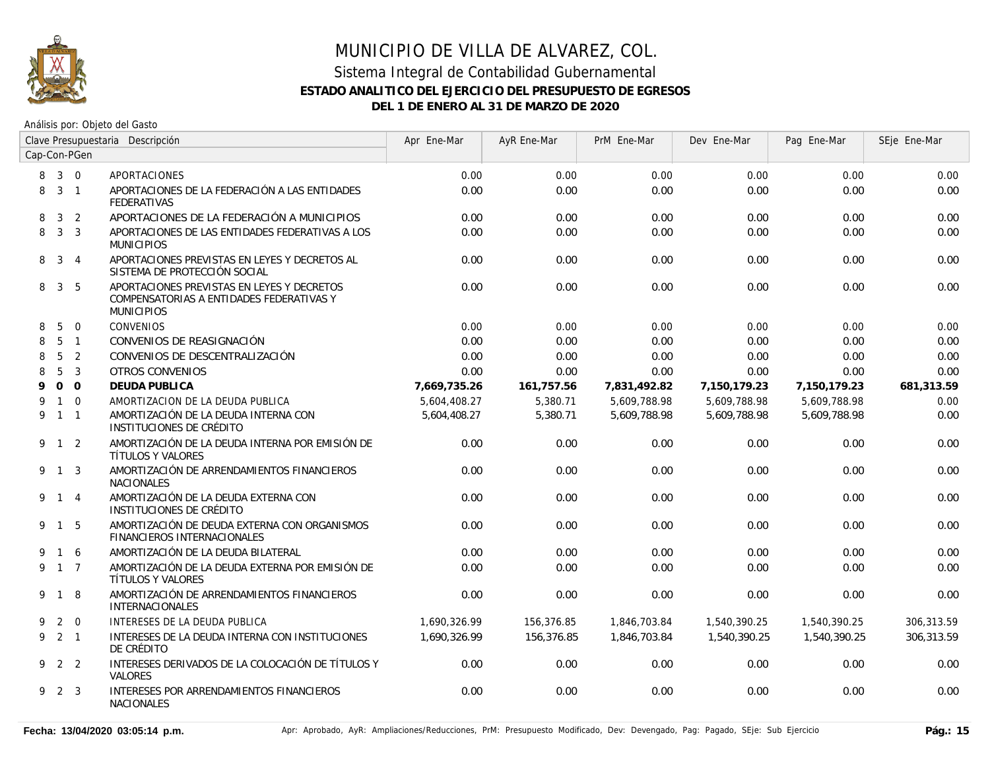

| Clave Presupuestaria Descripción |                 |                |                                                                                                             | Apr Ene-Mar  | AyR Ene-Mar | PrM Ene-Mar  | Dev Ene-Mar  | Pag Ene-Mar  | SEje Ene-Mar |
|----------------------------------|-----------------|----------------|-------------------------------------------------------------------------------------------------------------|--------------|-------------|--------------|--------------|--------------|--------------|
| Cap-Con-PGen                     |                 |                |                                                                                                             |              |             |              |              |              |              |
| 8                                | $3 \quad 0$     |                | APORTACIONES                                                                                                | 0.00         | 0.00        | 0.00         | 0.00         | 0.00         | 0.00         |
| 8                                | 3 <sub>1</sub>  |                | APORTACIONES DE LA FEDERACIÓN A LAS ENTIDADES<br><b>FEDERATIVAS</b>                                         | 0.00         | 0.00        | 0.00         | 0.00         | 0.00         | 0.00         |
| 8                                | 3               | $\overline{2}$ | APORTACIONES DE LA FEDERACIÓN A MUNICIPIOS                                                                  | 0.00         | 0.00        | 0.00         | 0.00         | 0.00         | 0.00         |
| 8                                |                 | 3 <sup>3</sup> | APORTACIONES DE LAS ENTIDADES FEDERATIVAS A LOS<br><b>MUNICIPIOS</b>                                        | 0.00         | 0.00        | 0.00         | 0.00         | 0.00         | 0.00         |
| 8                                | 3 4             |                | APORTACIONES PREVISTAS EN LEYES Y DECRETOS AL<br>SISTEMA DE PROTECCIÓN SOCIAL                               | 0.00         | 0.00        | 0.00         | 0.00         | 0.00         | 0.00         |
| 8                                | $\mathbf{3}$    | - 5            | APORTACIONES PREVISTAS EN LEYES Y DECRETOS<br>COMPENSATORIAS A ENTIDADES FEDERATIVAS Y<br><b>MUNICIPIOS</b> | 0.00         | 0.00        | 0.00         | 0.00         | 0.00         | 0.00         |
| 8                                | 5               | $\overline{0}$ | <b>CONVENIOS</b>                                                                                            | 0.00         | 0.00        | 0.00         | 0.00         | 0.00         | 0.00         |
| 8                                | $5\overline{)}$ | $\overline{1}$ | CONVENIOS DE REASIGNACIÓN                                                                                   | 0.00         | 0.00        | 0.00         | 0.00         | 0.00         | 0.00         |
| 8                                | 5               | 2              | CONVENIOS DE DESCENTRALIZACIÓN                                                                              | 0.00         | 0.00        | 0.00         | 0.00         | 0.00         | 0.00         |
| 8                                | 5               | $\mathbf{3}$   | <b>OTROS CONVENIOS</b>                                                                                      | 0.00         | 0.00        | 0.00         | 0.00         | 0.00         | 0.00         |
| 9                                |                 | 0 <sub>0</sub> | <b>DEUDA PUBLICA</b>                                                                                        | 7,669,735.26 | 161,757.56  | 7,831,492.82 | 7,150,179.23 | 7,150,179.23 | 681,313.59   |
| 9                                |                 | $1\quad 0$     | AMORTIZACION DE LA DEUDA PUBLICA                                                                            | 5,604,408.27 | 5,380.71    | 5,609,788.98 | 5,609,788.98 | 5,609,788.98 | 0.00         |
| 9                                | $1 \quad 1$     |                | AMORTIZACIÓN DE LA DEUDA INTERNA CON<br>INSTITUCIONES DE CRÉDITO                                            | 5,604,408.27 | 5,380.71    | 5,609,788.98 | 5,609,788.98 | 5,609,788.98 | 0.00         |
|                                  | 9 1 2           |                | AMORTIZACIÓN DE LA DEUDA INTERNA POR EMISIÓN DE<br>TÍTULOS Y VALORES                                        | 0.00         | 0.00        | 0.00         | 0.00         | 0.00         | 0.00         |
|                                  | 9 1 3           |                | AMORTIZACIÓN DE ARRENDAMIENTOS FINANCIEROS<br><b>NACIONALES</b>                                             | 0.00         | 0.00        | 0.00         | 0.00         | 0.00         | 0.00         |
|                                  | 9 1 4           |                | AMORTIZACIÓN DE LA DEUDA EXTERNA CON<br>INSTITUCIONES DE CRÉDITO                                            | 0.00         | 0.00        | 0.00         | 0.00         | 0.00         | 0.00         |
|                                  | 9 1 5           |                | AMORTIZACIÓN DE DEUDA EXTERNA CON ORGANISMOS<br><b>FINANCIEROS INTERNACIONALES</b>                          | 0.00         | 0.00        | 0.00         | 0.00         | 0.00         | 0.00         |
| 9                                | $\overline{1}$  | 6              | AMORTIZACIÓN DE LA DEUDA BILATERAL                                                                          | 0.00         | 0.00        | 0.00         | 0.00         | 0.00         | 0.00         |
| 9                                | $1\quad 7$      |                | AMORTIZACIÓN DE LA DEUDA EXTERNA POR EMISIÓN DE<br>TÍTULOS Y VALORES                                        | 0.00         | 0.00        | 0.00         | 0.00         | 0.00         | 0.00         |
|                                  | 9 1             | 8              | AMORTIZACIÓN DE ARRENDAMIENTOS FINANCIEROS<br><b>INTERNACIONALES</b>                                        | 0.00         | 0.00        | 0.00         | 0.00         | 0.00         | 0.00         |
| 9                                |                 | $2 \quad 0$    | INTERESES DE LA DEUDA PUBLICA                                                                               | 1,690,326.99 | 156,376.85  | 1,846,703.84 | 1,540,390.25 | 1,540,390.25 | 306,313.59   |
| 9                                | $2 \quad 1$     |                | INTERESES DE LA DEUDA INTERNA CON INSTITUCIONES<br>DE CRÉDITO                                               | 1,690,326.99 | 156,376.85  | 1,846,703.84 | 1,540,390.25 | 1,540,390.25 | 306,313.59   |
| 9                                |                 | 2 2            | INTERESES DERIVADOS DE LA COLOCACIÓN DE TÍTULOS Y<br><b>VALORES</b>                                         | 0.00         | 0.00        | 0.00         | 0.00         | 0.00         | 0.00         |
|                                  | 9 2 3           |                | INTERESES POR ARRENDAMIENTOS FINANCIEROS<br><b>NACIONALES</b>                                               | 0.00         | 0.00        | 0.00         | 0.00         | 0.00         | 0.00         |